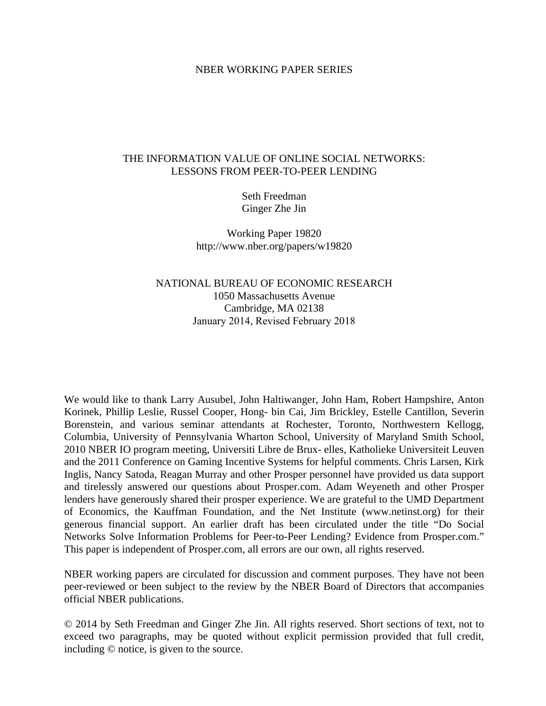#### NBER WORKING PAPER SERIES

### THE INFORMATION VALUE OF ONLINE SOCIAL NETWORKS: LESSONS FROM PEER-TO-PEER LENDING

Seth Freedman Ginger Zhe Jin

Working Paper 19820 http://www.nber.org/papers/w19820

### NATIONAL BUREAU OF ECONOMIC RESEARCH 1050 Massachusetts Avenue Cambridge, MA 02138 January 2014, Revised February 2018

We would like to thank Larry Ausubel, John Haltiwanger, John Ham, Robert Hampshire, Anton Korinek, Phillip Leslie, Russel Cooper, Hong- bin Cai, Jim Brickley, Estelle Cantillon, Severin Borenstein, and various seminar attendants at Rochester, Toronto, Northwestern Kellogg, Columbia, University of Pennsylvania Wharton School, University of Maryland Smith School, 2010 NBER IO program meeting, Universiti Libre de Brux- elles, Katholieke Universiteit Leuven and the 2011 Conference on Gaming Incentive Systems for helpful comments. Chris Larsen, Kirk Inglis, Nancy Satoda, Reagan Murray and other Prosper personnel have provided us data support and tirelessly answered our questions about Prosper.com. Adam Weyeneth and other Prosper lenders have generously shared their prosper experience. We are grateful to the UMD Department of Economics, the Kauffman Foundation, and the Net Institute (www.netinst.org) for their generous financial support. An earlier draft has been circulated under the title "Do Social Networks Solve Information Problems for Peer-to-Peer Lending? Evidence from Prosper.com." This paper is independent of Prosper.com, all errors are our own, all rights reserved.

NBER working papers are circulated for discussion and comment purposes. They have not been peer-reviewed or been subject to the review by the NBER Board of Directors that accompanies official NBER publications.

© 2014 by Seth Freedman and Ginger Zhe Jin. All rights reserved. Short sections of text, not to exceed two paragraphs, may be quoted without explicit permission provided that full credit, including © notice, is given to the source.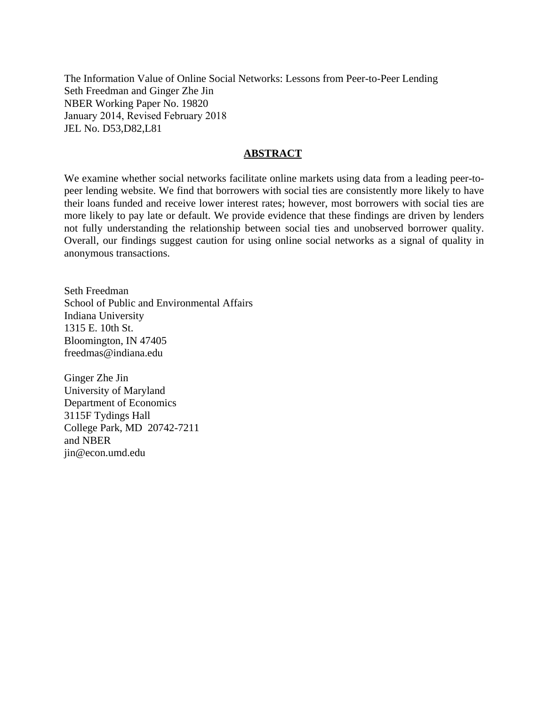The Information Value of Online Social Networks: Lessons from Peer-to-Peer Lending Seth Freedman and Ginger Zhe Jin NBER Working Paper No. 19820 January 2014, Revised February 2018 JEL No. D53,D82,L81

### **ABSTRACT**

We examine whether social networks facilitate online markets using data from a leading peer-topeer lending website. We find that borrowers with social ties are consistently more likely to have their loans funded and receive lower interest rates; however, most borrowers with social ties are more likely to pay late or default. We provide evidence that these findings are driven by lenders not fully understanding the relationship between social ties and unobserved borrower quality. Overall, our findings suggest caution for using online social networks as a signal of quality in anonymous transactions.

Seth Freedman School of Public and Environmental Affairs Indiana University 1315 E. 10th St. Bloomington, IN 47405 freedmas@indiana.edu

Ginger Zhe Jin University of Maryland Department of Economics 3115F Tydings Hall College Park, MD 20742-7211 and NBER jin@econ.umd.edu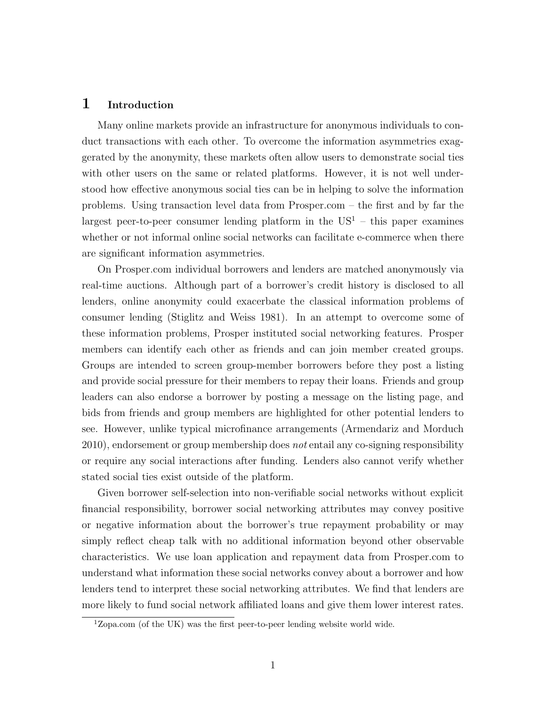### 1 Introduction

Many online markets provide an infrastructure for anonymous individuals to conduct transactions with each other. To overcome the information asymmetries exaggerated by the anonymity, these markets often allow users to demonstrate social ties with other users on the same or related platforms. However, it is not well understood how effective anonymous social ties can be in helping to solve the information problems. Using transaction level data from Prosper.com – the first and by far the largest peer-to-peer consumer lending platform in the  $US<sup>1</sup>$  $US<sup>1</sup>$  $US<sup>1</sup>$  – this paper examines whether or not informal online social networks can facilitate e-commerce when there are significant information asymmetries.

On Prosper.com individual borrowers and lenders are matched anonymously via real-time auctions. Although part of a borrower's credit history is disclosed to all lenders, online anonymity could exacerbate the classical information problems of consumer lending (Stiglitz and Weiss 1981). In an attempt to overcome some of these information problems, Prosper instituted social networking features. Prosper members can identify each other as friends and can join member created groups. Groups are intended to screen group-member borrowers before they post a listing and provide social pressure for their members to repay their loans. Friends and group leaders can also endorse a borrower by posting a message on the listing page, and bids from friends and group members are highlighted for other potential lenders to see. However, unlike typical microfinance arrangements (Armendariz and Morduch 2010), endorsement or group membership does not entail any co-signing responsibility or require any social interactions after funding. Lenders also cannot verify whether stated social ties exist outside of the platform.

Given borrower self-selection into non-verifiable social networks without explicit financial responsibility, borrower social networking attributes may convey positive or negative information about the borrower's true repayment probability or may simply reflect cheap talk with no additional information beyond other observable characteristics. We use loan application and repayment data from Prosper.com to understand what information these social networks convey about a borrower and how lenders tend to interpret these social networking attributes. We find that lenders are more likely to fund social network affiliated loans and give them lower interest rates.

<span id="page-2-0"></span> $1$ Zopa.com (of the UK) was the first peer-to-peer lending website world wide.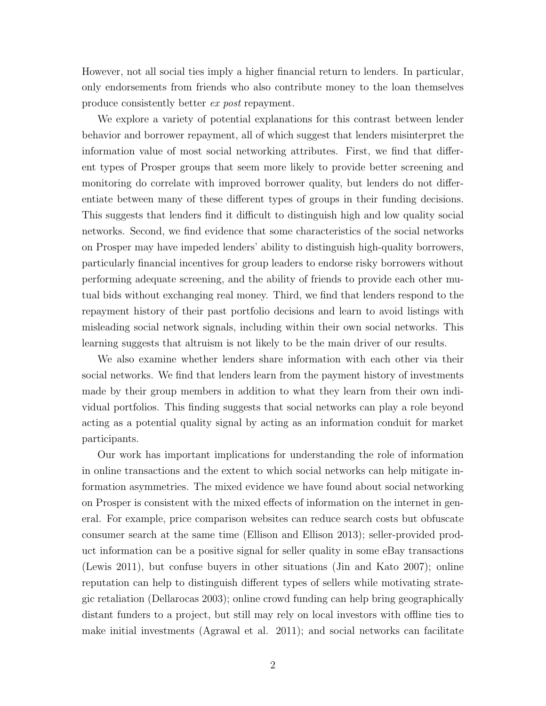However, not all social ties imply a higher financial return to lenders. In particular, only endorsements from friends who also contribute money to the loan themselves produce consistently better ex post repayment.

We explore a variety of potential explanations for this contrast between lender behavior and borrower repayment, all of which suggest that lenders misinterpret the information value of most social networking attributes. First, we find that different types of Prosper groups that seem more likely to provide better screening and monitoring do correlate with improved borrower quality, but lenders do not differentiate between many of these different types of groups in their funding decisions. This suggests that lenders find it difficult to distinguish high and low quality social networks. Second, we find evidence that some characteristics of the social networks on Prosper may have impeded lenders' ability to distinguish high-quality borrowers, particularly financial incentives for group leaders to endorse risky borrowers without performing adequate screening, and the ability of friends to provide each other mutual bids without exchanging real money. Third, we find that lenders respond to the repayment history of their past portfolio decisions and learn to avoid listings with misleading social network signals, including within their own social networks. This learning suggests that altruism is not likely to be the main driver of our results.

We also examine whether lenders share information with each other via their social networks. We find that lenders learn from the payment history of investments made by their group members in addition to what they learn from their own individual portfolios. This finding suggests that social networks can play a role beyond acting as a potential quality signal by acting as an information conduit for market participants.

Our work has important implications for understanding the role of information in online transactions and the extent to which social networks can help mitigate information asymmetries. The mixed evidence we have found about social networking on Prosper is consistent with the mixed effects of information on the internet in general. For example, price comparison websites can reduce search costs but obfuscate consumer search at the same time (Ellison and Ellison 2013); seller-provided product information can be a positive signal for seller quality in some eBay transactions (Lewis 2011), but confuse buyers in other situations (Jin and Kato 2007); online reputation can help to distinguish different types of sellers while motivating strategic retaliation (Dellarocas 2003); online crowd funding can help bring geographically distant funders to a project, but still may rely on local investors with offline ties to make initial investments (Agrawal et al. 2011); and social networks can facilitate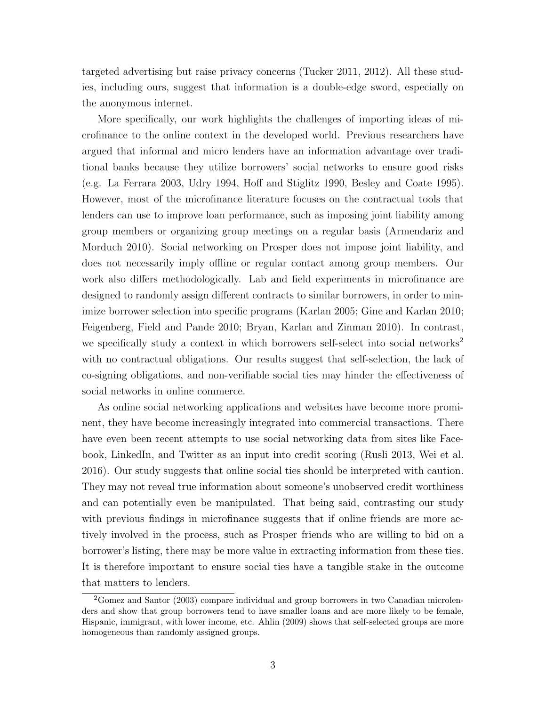targeted advertising but raise privacy concerns (Tucker 2011, 2012). All these studies, including ours, suggest that information is a double-edge sword, especially on the anonymous internet.

More specifically, our work highlights the challenges of importing ideas of microfinance to the online context in the developed world. Previous researchers have argued that informal and micro lenders have an information advantage over traditional banks because they utilize borrowers' social networks to ensure good risks (e.g. La Ferrara 2003, Udry 1994, Hoff and Stiglitz 1990, Besley and Coate 1995). However, most of the microfinance literature focuses on the contractual tools that lenders can use to improve loan performance, such as imposing joint liability among group members or organizing group meetings on a regular basis (Armendariz and Morduch 2010). Social networking on Prosper does not impose joint liability, and does not necessarily imply offline or regular contact among group members. Our work also differs methodologically. Lab and field experiments in microfinance are designed to randomly assign different contracts to similar borrowers, in order to minimize borrower selection into specific programs (Karlan 2005; Gine and Karlan 2010; Feigenberg, Field and Pande 2010; Bryan, Karlan and Zinman 2010). In contrast, we specifically study a context in which borrowers self-select into social networks<sup>[2](#page-4-0)</sup> with no contractual obligations. Our results suggest that self-selection, the lack of co-signing obligations, and non-verifiable social ties may hinder the effectiveness of social networks in online commerce.

As online social networking applications and websites have become more prominent, they have become increasingly integrated into commercial transactions. There have even been recent attempts to use social networking data from sites like Facebook, LinkedIn, and Twitter as an input into credit scoring (Rusli 2013, Wei et al. 2016). Our study suggests that online social ties should be interpreted with caution. They may not reveal true information about someone's unobserved credit worthiness and can potentially even be manipulated. That being said, contrasting our study with previous findings in microfinance suggests that if online friends are more actively involved in the process, such as Prosper friends who are willing to bid on a borrower's listing, there may be more value in extracting information from these ties. It is therefore important to ensure social ties have a tangible stake in the outcome that matters to lenders.

<span id="page-4-0"></span><sup>2</sup>Gomez and Santor (2003) compare individual and group borrowers in two Canadian microlenders and show that group borrowers tend to have smaller loans and are more likely to be female, Hispanic, immigrant, with lower income, etc. Ahlin (2009) shows that self-selected groups are more homogeneous than randomly assigned groups.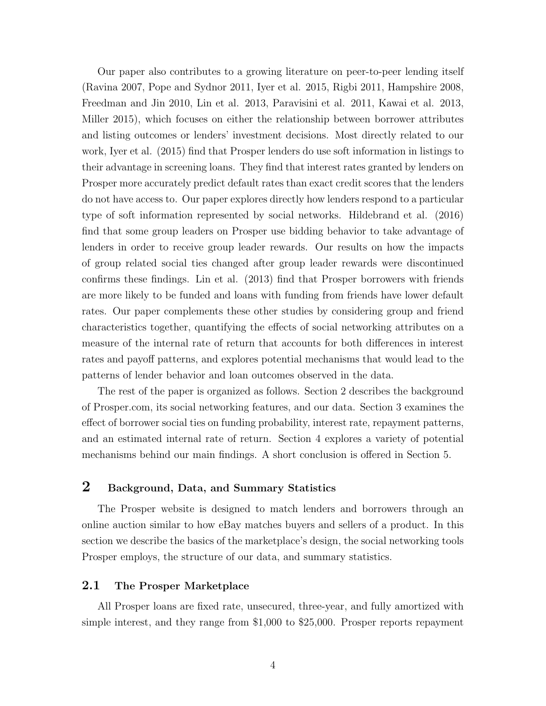Our paper also contributes to a growing literature on peer-to-peer lending itself (Ravina 2007, Pope and Sydnor 2011, Iyer et al. 2015, Rigbi 2011, Hampshire 2008, Freedman and Jin 2010, Lin et al. 2013, Paravisini et al. 2011, Kawai et al. 2013, Miller 2015), which focuses on either the relationship between borrower attributes and listing outcomes or lenders' investment decisions. Most directly related to our work, Iyer et al. (2015) find that Prosper lenders do use soft information in listings to their advantage in screening loans. They find that interest rates granted by lenders on Prosper more accurately predict default rates than exact credit scores that the lenders do not have access to. Our paper explores directly how lenders respond to a particular type of soft information represented by social networks. Hildebrand et al. (2016) find that some group leaders on Prosper use bidding behavior to take advantage of lenders in order to receive group leader rewards. Our results on how the impacts of group related social ties changed after group leader rewards were discontinued confirms these findings. Lin et al. (2013) find that Prosper borrowers with friends are more likely to be funded and loans with funding from friends have lower default rates. Our paper complements these other studies by considering group and friend characteristics together, quantifying the effects of social networking attributes on a measure of the internal rate of return that accounts for both differences in interest rates and payoff patterns, and explores potential mechanisms that would lead to the patterns of lender behavior and loan outcomes observed in the data.

The rest of the paper is organized as follows. Section 2 describes the background of Prosper.com, its social networking features, and our data. Section 3 examines the effect of borrower social ties on funding probability, interest rate, repayment patterns, and an estimated internal rate of return. Section 4 explores a variety of potential mechanisms behind our main findings. A short conclusion is offered in Section 5.

## 2 Background, Data, and Summary Statistics

The Prosper website is designed to match lenders and borrowers through an online auction similar to how eBay matches buyers and sellers of a product. In this section we describe the basics of the marketplace's design, the social networking tools Prosper employs, the structure of our data, and summary statistics.

### 2.1 The Prosper Marketplace

All Prosper loans are fixed rate, unsecured, three-year, and fully amortized with simple interest, and they range from \$1,000 to \$25,000. Prosper reports repayment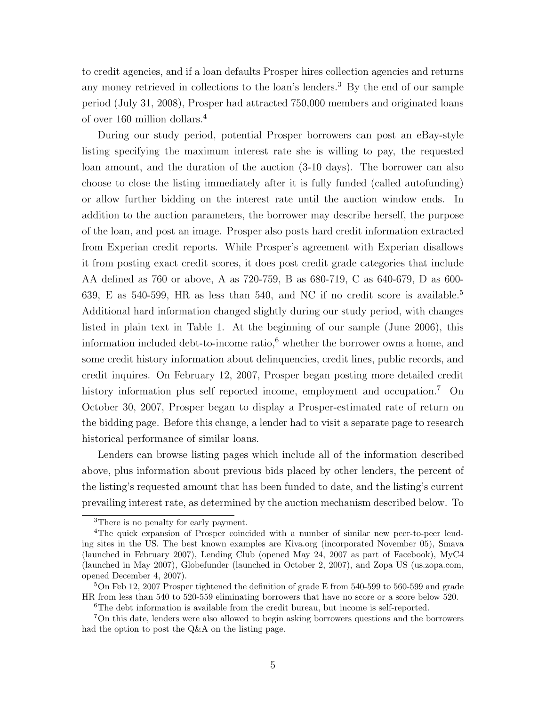to credit agencies, and if a loan defaults Prosper hires collection agencies and returns any money retrieved in collections to the loan's lenders.[3](#page-6-0) By the end of our sample period (July 31, 2008), Prosper had attracted 750,000 members and originated loans of over 160 million dollars.[4](#page-6-1)

During our study period, potential Prosper borrowers can post an eBay-style listing specifying the maximum interest rate she is willing to pay, the requested loan amount, and the duration of the auction (3-10 days). The borrower can also choose to close the listing immediately after it is fully funded (called autofunding) or allow further bidding on the interest rate until the auction window ends. In addition to the auction parameters, the borrower may describe herself, the purpose of the loan, and post an image. Prosper also posts hard credit information extracted from Experian credit reports. While Prosper's agreement with Experian disallows it from posting exact credit scores, it does post credit grade categories that include AA defined as 760 or above, A as 720-759, B as 680-719, C as 640-679, D as 600- 639, E as [5](#page-6-2)40-599, HR as less than 540, and NC if no credit score is available.<sup>5</sup> Additional hard information changed slightly during our study period, with changes listed in plain text in Table 1. At the beginning of our sample (June 2006), this information included debt-to-income ratio, $6$  whether the borrower owns a home, and some credit history information about delinquencies, credit lines, public records, and credit inquires. On February 12, 2007, Prosper began posting more detailed credit history information plus self reported income, employment and occupation.<sup>[7](#page-6-4)</sup> On October 30, 2007, Prosper began to display a Prosper-estimated rate of return on the bidding page. Before this change, a lender had to visit a separate page to research historical performance of similar loans.

Lenders can browse listing pages which include all of the information described above, plus information about previous bids placed by other lenders, the percent of the listing's requested amount that has been funded to date, and the listing's current prevailing interest rate, as determined by the auction mechanism described below. To

<span id="page-6-1"></span><span id="page-6-0"></span><sup>&</sup>lt;sup>3</sup>There is no penalty for early payment.

<sup>4</sup>The quick expansion of Prosper coincided with a number of similar new peer-to-peer lending sites in the US. The best known examples are Kiva.org (incorporated November 05), Smava (launched in February 2007), Lending Club (opened May 24, 2007 as part of Facebook), MyC4 (launched in May 2007), Globefunder (launched in October 2, 2007), and Zopa US (us.zopa.com, opened December 4, 2007).

<span id="page-6-2"></span><sup>5</sup>On Feb 12, 2007 Prosper tightened the definition of grade E from 540-599 to 560-599 and grade HR from less than 540 to 520-559 eliminating borrowers that have no score or a score below 520.

<span id="page-6-4"></span><span id="page-6-3"></span><sup>&</sup>lt;sup>6</sup>The debt information is available from the credit bureau, but income is self-reported.

<sup>7</sup>On this date, lenders were also allowed to begin asking borrowers questions and the borrowers had the option to post the Q&A on the listing page.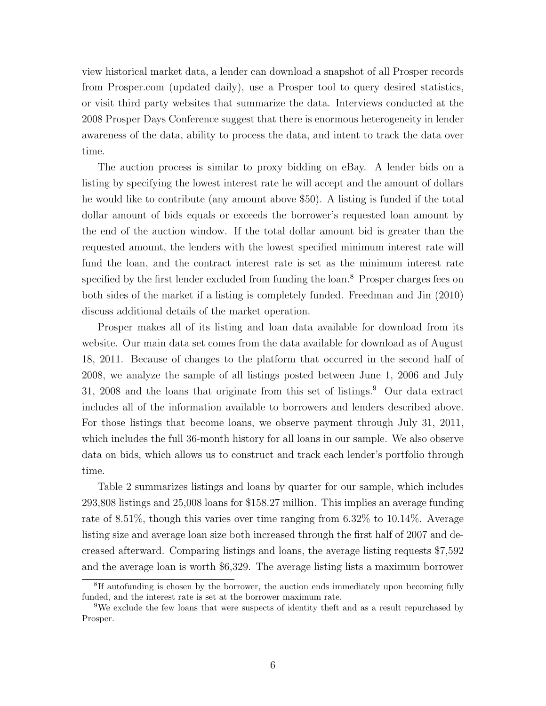view historical market data, a lender can download a snapshot of all Prosper records from Prosper.com (updated daily), use a Prosper tool to query desired statistics, or visit third party websites that summarize the data. Interviews conducted at the 2008 Prosper Days Conference suggest that there is enormous heterogeneity in lender awareness of the data, ability to process the data, and intent to track the data over time.

The auction process is similar to proxy bidding on eBay. A lender bids on a listing by specifying the lowest interest rate he will accept and the amount of dollars he would like to contribute (any amount above \$50). A listing is funded if the total dollar amount of bids equals or exceeds the borrower's requested loan amount by the end of the auction window. If the total dollar amount bid is greater than the requested amount, the lenders with the lowest specified minimum interest rate will fund the loan, and the contract interest rate is set as the minimum interest rate specified by the first lender excluded from funding the loan.<sup>[8](#page-7-0)</sup> Prosper charges fees on both sides of the market if a listing is completely funded. Freedman and Jin (2010) discuss additional details of the market operation.

Prosper makes all of its listing and loan data available for download from its website. Our main data set comes from the data available for download as of August 18, 2011. Because of changes to the platform that occurred in the second half of 2008, we analyze the sample of all listings posted between June 1, 2006 and July 31, 2008 and the loans that originate from this set of listings.<sup>[9](#page-7-1)</sup> Our data extract includes all of the information available to borrowers and lenders described above. For those listings that become loans, we observe payment through July 31, 2011, which includes the full 36-month history for all loans in our sample. We also observe data on bids, which allows us to construct and track each lender's portfolio through time.

Table 2 summarizes listings and loans by quarter for our sample, which includes 293,808 listings and 25,008 loans for \$158.27 million. This implies an average funding rate of 8.51%, though this varies over time ranging from 6.32% to 10.14%. Average listing size and average loan size both increased through the first half of 2007 and decreased afterward. Comparing listings and loans, the average listing requests \$7,592 and the average loan is worth \$6,329. The average listing lists a maximum borrower

<span id="page-7-0"></span><sup>&</sup>lt;sup>8</sup>If autofunding is chosen by the borrower, the auction ends immediately upon becoming fully funded, and the interest rate is set at the borrower maximum rate.

<span id="page-7-1"></span><sup>&</sup>lt;sup>9</sup>We exclude the few loans that were suspects of identity theft and as a result repurchased by Prosper.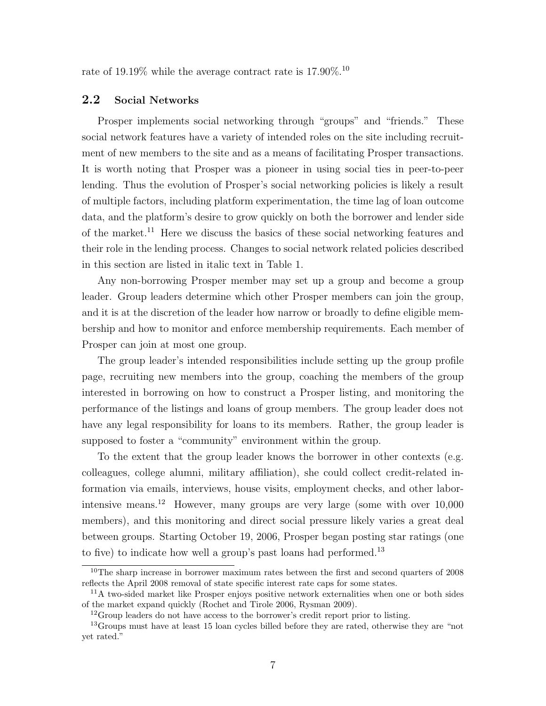rate of 19.19% while the average contract rate is  $17.90\%$ .<sup>[10](#page-8-0)</sup>

### 2.2 Social Networks

Prosper implements social networking through "groups" and "friends." These social network features have a variety of intended roles on the site including recruitment of new members to the site and as a means of facilitating Prosper transactions. It is worth noting that Prosper was a pioneer in using social ties in peer-to-peer lending. Thus the evolution of Prosper's social networking policies is likely a result of multiple factors, including platform experimentation, the time lag of loan outcome data, and the platform's desire to grow quickly on both the borrower and lender side of the market.<sup>[11](#page-8-1)</sup> Here we discuss the basics of these social networking features and their role in the lending process. Changes to social network related policies described in this section are listed in italic text in Table 1.

Any non-borrowing Prosper member may set up a group and become a group leader. Group leaders determine which other Prosper members can join the group, and it is at the discretion of the leader how narrow or broadly to define eligible membership and how to monitor and enforce membership requirements. Each member of Prosper can join at most one group.

The group leader's intended responsibilities include setting up the group profile page, recruiting new members into the group, coaching the members of the group interested in borrowing on how to construct a Prosper listing, and monitoring the performance of the listings and loans of group members. The group leader does not have any legal responsibility for loans to its members. Rather, the group leader is supposed to foster a "community" environment within the group.

To the extent that the group leader knows the borrower in other contexts (e.g. colleagues, college alumni, military affiliation), she could collect credit-related information via emails, interviews, house visits, employment checks, and other labor-intensive means.<sup>[12](#page-8-2)</sup> However, many groups are very large (some with over  $10,000$ ) members), and this monitoring and direct social pressure likely varies a great deal between groups. Starting October 19, 2006, Prosper began posting star ratings (one to five) to indicate how well a group's past loans had performed.<sup>[13](#page-8-3)</sup>

<span id="page-8-0"></span><sup>&</sup>lt;sup>10</sup>The sharp increase in borrower maximum rates between the first and second quarters of 2008 reflects the April 2008 removal of state specific interest rate caps for some states.

<span id="page-8-1"></span><sup>&</sup>lt;sup>11</sup>A two-sided market like Prosper enjoys positive network externalities when one or both sides of the market expand quickly (Rochet and Tirole 2006, Rysman 2009).

<span id="page-8-3"></span><span id="page-8-2"></span><sup>&</sup>lt;sup>12</sup>Group leaders do not have access to the borrower's credit report prior to listing.

<sup>&</sup>lt;sup>13</sup>Groups must have at least 15 loan cycles billed before they are rated, otherwise they are "not yet rated."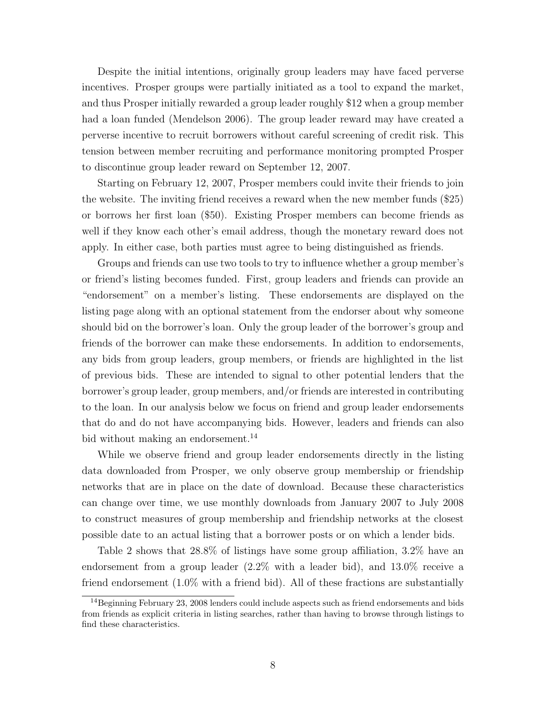Despite the initial intentions, originally group leaders may have faced perverse incentives. Prosper groups were partially initiated as a tool to expand the market, and thus Prosper initially rewarded a group leader roughly \$12 when a group member had a loan funded (Mendelson 2006). The group leader reward may have created a perverse incentive to recruit borrowers without careful screening of credit risk. This tension between member recruiting and performance monitoring prompted Prosper to discontinue group leader reward on September 12, 2007.

Starting on February 12, 2007, Prosper members could invite their friends to join the website. The inviting friend receives a reward when the new member funds (\$25) or borrows her first loan (\$50). Existing Prosper members can become friends as well if they know each other's email address, though the monetary reward does not apply. In either case, both parties must agree to being distinguished as friends.

Groups and friends can use two tools to try to influence whether a group member's or friend's listing becomes funded. First, group leaders and friends can provide an "endorsement" on a member's listing. These endorsements are displayed on the listing page along with an optional statement from the endorser about why someone should bid on the borrower's loan. Only the group leader of the borrower's group and friends of the borrower can make these endorsements. In addition to endorsements, any bids from group leaders, group members, or friends are highlighted in the list of previous bids. These are intended to signal to other potential lenders that the borrower's group leader, group members, and/or friends are interested in contributing to the loan. In our analysis below we focus on friend and group leader endorsements that do and do not have accompanying bids. However, leaders and friends can also bid without making an endorsement.<sup>[14](#page-9-0)</sup>

While we observe friend and group leader endorsements directly in the listing data downloaded from Prosper, we only observe group membership or friendship networks that are in place on the date of download. Because these characteristics can change over time, we use monthly downloads from January 2007 to July 2008 to construct measures of group membership and friendship networks at the closest possible date to an actual listing that a borrower posts or on which a lender bids.

Table 2 shows that 28.8% of listings have some group affiliation, 3.2% have an endorsement from a group leader (2.2% with a leader bid), and 13.0% receive a friend endorsement (1.0% with a friend bid). All of these fractions are substantially

<span id="page-9-0"></span> $14$ Beginning February 23, 2008 lenders could include aspects such as friend endorsements and bids from friends as explicit criteria in listing searches, rather than having to browse through listings to find these characteristics.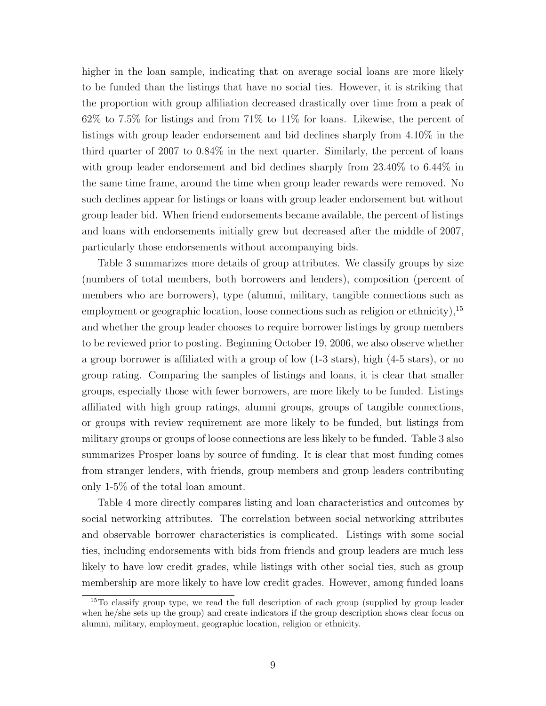higher in the loan sample, indicating that on average social loans are more likely to be funded than the listings that have no social ties. However, it is striking that the proportion with group affiliation decreased drastically over time from a peak of 62% to 7.5% for listings and from 71% to 11% for loans. Likewise, the percent of listings with group leader endorsement and bid declines sharply from 4.10% in the third quarter of 2007 to 0.84% in the next quarter. Similarly, the percent of loans with group leader endorsement and bid declines sharply from 23.40% to 6.44% in the same time frame, around the time when group leader rewards were removed. No such declines appear for listings or loans with group leader endorsement but without group leader bid. When friend endorsements became available, the percent of listings and loans with endorsements initially grew but decreased after the middle of 2007, particularly those endorsements without accompanying bids.

Table 3 summarizes more details of group attributes. We classify groups by size (numbers of total members, both borrowers and lenders), composition (percent of members who are borrowers), type (alumni, military, tangible connections such as employment or geographic location, loose connections such as religion or ethnicity),  $^{15}$  $^{15}$  $^{15}$ and whether the group leader chooses to require borrower listings by group members to be reviewed prior to posting. Beginning October 19, 2006, we also observe whether a group borrower is affiliated with a group of low (1-3 stars), high (4-5 stars), or no group rating. Comparing the samples of listings and loans, it is clear that smaller groups, especially those with fewer borrowers, are more likely to be funded. Listings affiliated with high group ratings, alumni groups, groups of tangible connections, or groups with review requirement are more likely to be funded, but listings from military groups or groups of loose connections are less likely to be funded. Table 3 also summarizes Prosper loans by source of funding. It is clear that most funding comes from stranger lenders, with friends, group members and group leaders contributing only 1-5% of the total loan amount.

Table 4 more directly compares listing and loan characteristics and outcomes by social networking attributes. The correlation between social networking attributes and observable borrower characteristics is complicated. Listings with some social ties, including endorsements with bids from friends and group leaders are much less likely to have low credit grades, while listings with other social ties, such as group membership are more likely to have low credit grades. However, among funded loans

<span id="page-10-0"></span><sup>&</sup>lt;sup>15</sup>To classify group type, we read the full description of each group (supplied by group leader when he/she sets up the group) and create indicators if the group description shows clear focus on alumni, military, employment, geographic location, religion or ethnicity.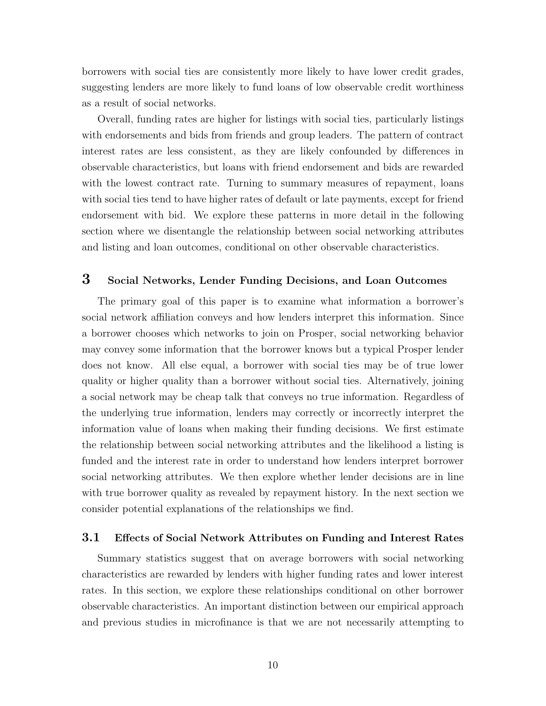borrowers with social ties are consistently more likely to have lower credit grades, suggesting lenders are more likely to fund loans of low observable credit worthiness as a result of social networks.

Overall, funding rates are higher for listings with social ties, particularly listings with endorsements and bids from friends and group leaders. The pattern of contract interest rates are less consistent, as they are likely confounded by differences in observable characteristics, but loans with friend endorsement and bids are rewarded with the lowest contract rate. Turning to summary measures of repayment, loans with social ties tend to have higher rates of default or late payments, except for friend endorsement with bid. We explore these patterns in more detail in the following section where we disentangle the relationship between social networking attributes and listing and loan outcomes, conditional on other observable characteristics.

## 3 Social Networks, Lender Funding Decisions, and Loan Outcomes

The primary goal of this paper is to examine what information a borrower's social network affiliation conveys and how lenders interpret this information. Since a borrower chooses which networks to join on Prosper, social networking behavior may convey some information that the borrower knows but a typical Prosper lender does not know. All else equal, a borrower with social ties may be of true lower quality or higher quality than a borrower without social ties. Alternatively, joining a social network may be cheap talk that conveys no true information. Regardless of the underlying true information, lenders may correctly or incorrectly interpret the information value of loans when making their funding decisions. We first estimate the relationship between social networking attributes and the likelihood a listing is funded and the interest rate in order to understand how lenders interpret borrower social networking attributes. We then explore whether lender decisions are in line with true borrower quality as revealed by repayment history. In the next section we consider potential explanations of the relationships we find.

#### 3.1 Effects of Social Network Attributes on Funding and Interest Rates

Summary statistics suggest that on average borrowers with social networking characteristics are rewarded by lenders with higher funding rates and lower interest rates. In this section, we explore these relationships conditional on other borrower observable characteristics. An important distinction between our empirical approach and previous studies in microfinance is that we are not necessarily attempting to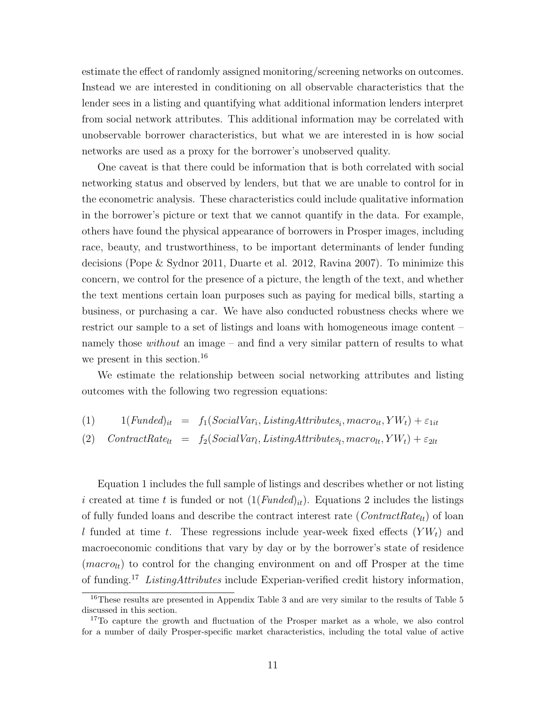estimate the effect of randomly assigned monitoring/screening networks on outcomes. Instead we are interested in conditioning on all observable characteristics that the lender sees in a listing and quantifying what additional information lenders interpret from social network attributes. This additional information may be correlated with unobservable borrower characteristics, but what we are interested in is how social networks are used as a proxy for the borrower's unobserved quality.

One caveat is that there could be information that is both correlated with social networking status and observed by lenders, but that we are unable to control for in the econometric analysis. These characteristics could include qualitative information in the borrower's picture or text that we cannot quantify in the data. For example, others have found the physical appearance of borrowers in Prosper images, including race, beauty, and trustworthiness, to be important determinants of lender funding decisions (Pope & Sydnor 2011, Duarte et al. 2012, Ravina 2007). To minimize this concern, we control for the presence of a picture, the length of the text, and whether the text mentions certain loan purposes such as paying for medical bills, starting a business, or purchasing a car. We have also conducted robustness checks where we restrict our sample to a set of listings and loans with homogeneous image content – namely those *without* an image – and find a very similar pattern of results to what we present in this section.<sup>[16](#page-12-0)</sup>

We estimate the relationship between social networking attributes and listing outcomes with the following two regression equations:

(1)  $1(Funded)_{it} = f_1(SocialVar_i, ListingAttributes_i, macro_{it}, YW_t) + \varepsilon_{1it}$ (2)  $Control$   $Control$   $= f_2(SocialVar_l, ListingAttributes_l, macro_{lt}, YW_t) + \varepsilon_{2lt}$ 

Equation 1 includes the full sample of listings and describes whether or not listing i created at time t is funded or not  $(1(Funded)_{it})$ . Equations 2 includes the listings of fully funded loans and describe the contract interest rate ( $ContractRate_{lt})$ ) of loan l funded at time t. These regressions include year-week fixed effects  $(YW_t)$  and macroeconomic conditions that vary by day or by the borrower's state of residence  $(macc<sub>lt</sub>)$  to control for the changing environment on and off Prosper at the time of funding.[17](#page-12-1) ListingAttributes include Experian-verified credit history information,

<span id="page-12-0"></span><sup>&</sup>lt;sup>16</sup>These results are presented in Appendix Table 3 and are very similar to the results of Table 5 discussed in this section.

<span id="page-12-1"></span><sup>&</sup>lt;sup>17</sup>To capture the growth and fluctuation of the Prosper market as a whole, we also control for a number of daily Prosper-specific market characteristics, including the total value of active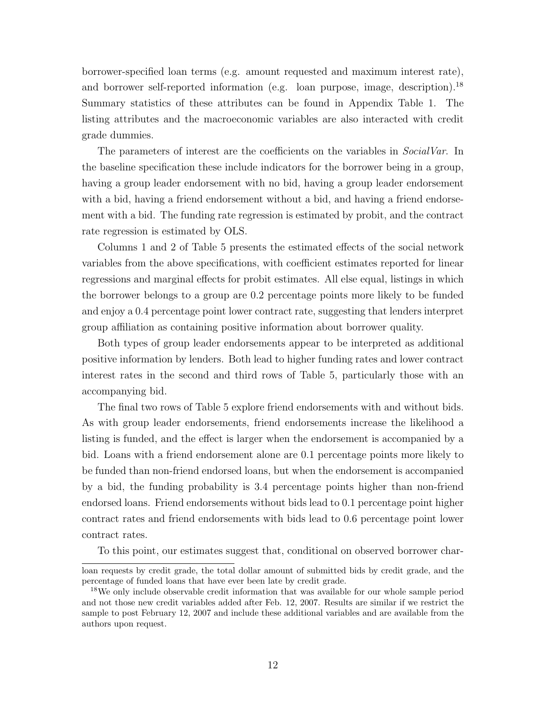borrower-specified loan terms (e.g. amount requested and maximum interest rate), and borrower self-reported information (e.g. loan purpose, image, description).<sup>[18](#page-13-0)</sup> Summary statistics of these attributes can be found in Appendix Table 1. The listing attributes and the macroeconomic variables are also interacted with credit grade dummies.

The parameters of interest are the coefficients on the variables in *SocialVar*. In the baseline specification these include indicators for the borrower being in a group, having a group leader endorsement with no bid, having a group leader endorsement with a bid, having a friend endorsement without a bid, and having a friend endorsement with a bid. The funding rate regression is estimated by probit, and the contract rate regression is estimated by OLS.

Columns 1 and 2 of Table 5 presents the estimated effects of the social network variables from the above specifications, with coefficient estimates reported for linear regressions and marginal effects for probit estimates. All else equal, listings in which the borrower belongs to a group are 0.2 percentage points more likely to be funded and enjoy a 0.4 percentage point lower contract rate, suggesting that lenders interpret group affiliation as containing positive information about borrower quality.

Both types of group leader endorsements appear to be interpreted as additional positive information by lenders. Both lead to higher funding rates and lower contract interest rates in the second and third rows of Table 5, particularly those with an accompanying bid.

The final two rows of Table 5 explore friend endorsements with and without bids. As with group leader endorsements, friend endorsements increase the likelihood a listing is funded, and the effect is larger when the endorsement is accompanied by a bid. Loans with a friend endorsement alone are 0.1 percentage points more likely to be funded than non-friend endorsed loans, but when the endorsement is accompanied by a bid, the funding probability is 3.4 percentage points higher than non-friend endorsed loans. Friend endorsements without bids lead to 0.1 percentage point higher contract rates and friend endorsements with bids lead to 0.6 percentage point lower contract rates.

To this point, our estimates suggest that, conditional on observed borrower char-

loan requests by credit grade, the total dollar amount of submitted bids by credit grade, and the percentage of funded loans that have ever been late by credit grade.

<span id="page-13-0"></span><sup>&</sup>lt;sup>18</sup>We only include observable credit information that was available for our whole sample period and not those new credit variables added after Feb. 12, 2007. Results are similar if we restrict the sample to post February 12, 2007 and include these additional variables and are available from the authors upon request.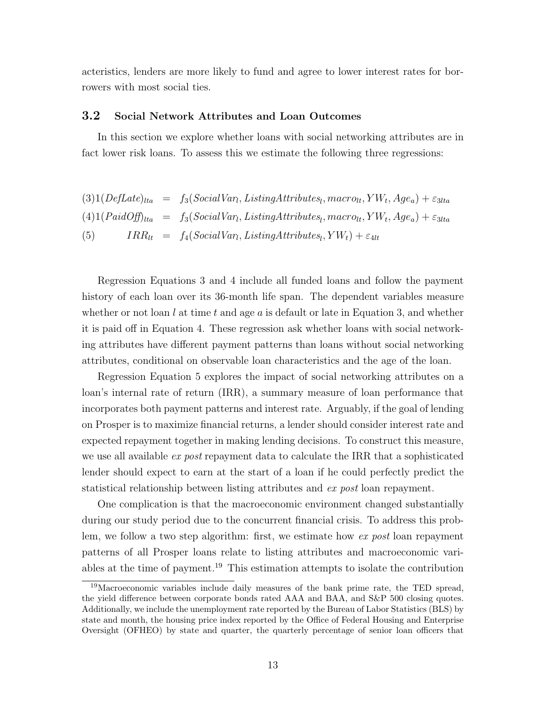acteristics, lenders are more likely to fund and agree to lower interest rates for borrowers with most social ties.

#### 3.2 Social Network Attributes and Loan Outcomes

In this section we explore whether loans with social networking attributes are in fact lower risk loans. To assess this we estimate the following three regressions:

$$
(3) 1 (DefDate)_{lta} = f_3 (SocialVar_l, ListingAttributes_l, macro_{lt}, YW_t, Age_a) + \varepsilon_{3lta}
$$
  

$$
(4) 1 (PaidOff)_{lta} = f_3 (SocialVar_l, ListingAttributes_l, macro_{lt}, YW_t, Age_a) + \varepsilon_{3lta}
$$
  

$$
(5) IRR_{lt} = f_4 (SocialVar_l, ListingAttributes_l, YW_t) + \varepsilon_{4lt}
$$

Regression Equations 3 and 4 include all funded loans and follow the payment history of each loan over its 36-month life span. The dependent variables measure whether or not loan l at time t and age a is default or late in Equation 3, and whether it is paid off in Equation 4. These regression ask whether loans with social networking attributes have different payment patterns than loans without social networking attributes, conditional on observable loan characteristics and the age of the loan.

Regression Equation 5 explores the impact of social networking attributes on a loan's internal rate of return (IRR), a summary measure of loan performance that incorporates both payment patterns and interest rate. Arguably, if the goal of lending on Prosper is to maximize financial returns, a lender should consider interest rate and expected repayment together in making lending decisions. To construct this measure, we use all available *ex post* repayment data to calculate the IRR that a sophisticated lender should expect to earn at the start of a loan if he could perfectly predict the statistical relationship between listing attributes and ex post loan repayment.

One complication is that the macroeconomic environment changed substantially during our study period due to the concurrent financial crisis. To address this problem, we follow a two step algorithm: first, we estimate how ex post loan repayment patterns of all Prosper loans relate to listing attributes and macroeconomic variables at the time of payment.[19](#page-14-0) This estimation attempts to isolate the contribution

<span id="page-14-0"></span><sup>19</sup>Macroeconomic variables include daily measures of the bank prime rate, the TED spread, the yield difference between corporate bonds rated AAA and BAA, and S&P 500 closing quotes. Additionally, we include the unemployment rate reported by the Bureau of Labor Statistics (BLS) by state and month, the housing price index reported by the Office of Federal Housing and Enterprise Oversight (OFHEO) by state and quarter, the quarterly percentage of senior loan officers that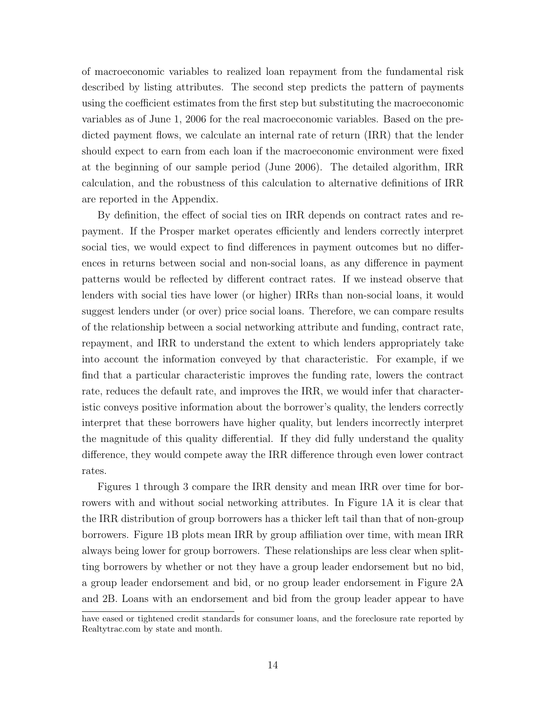of macroeconomic variables to realized loan repayment from the fundamental risk described by listing attributes. The second step predicts the pattern of payments using the coefficient estimates from the first step but substituting the macroeconomic variables as of June 1, 2006 for the real macroeconomic variables. Based on the predicted payment flows, we calculate an internal rate of return (IRR) that the lender should expect to earn from each loan if the macroeconomic environment were fixed at the beginning of our sample period (June 2006). The detailed algorithm, IRR calculation, and the robustness of this calculation to alternative definitions of IRR are reported in the Appendix.

By definition, the effect of social ties on IRR depends on contract rates and repayment. If the Prosper market operates efficiently and lenders correctly interpret social ties, we would expect to find differences in payment outcomes but no differences in returns between social and non-social loans, as any difference in payment patterns would be reflected by different contract rates. If we instead observe that lenders with social ties have lower (or higher) IRRs than non-social loans, it would suggest lenders under (or over) price social loans. Therefore, we can compare results of the relationship between a social networking attribute and funding, contract rate, repayment, and IRR to understand the extent to which lenders appropriately take into account the information conveyed by that characteristic. For example, if we find that a particular characteristic improves the funding rate, lowers the contract rate, reduces the default rate, and improves the IRR, we would infer that characteristic conveys positive information about the borrower's quality, the lenders correctly interpret that these borrowers have higher quality, but lenders incorrectly interpret the magnitude of this quality differential. If they did fully understand the quality difference, they would compete away the IRR difference through even lower contract rates.

Figures 1 through 3 compare the IRR density and mean IRR over time for borrowers with and without social networking attributes. In Figure 1A it is clear that the IRR distribution of group borrowers has a thicker left tail than that of non-group borrowers. Figure 1B plots mean IRR by group affiliation over time, with mean IRR always being lower for group borrowers. These relationships are less clear when splitting borrowers by whether or not they have a group leader endorsement but no bid, a group leader endorsement and bid, or no group leader endorsement in Figure 2A and 2B. Loans with an endorsement and bid from the group leader appear to have

have eased or tightened credit standards for consumer loans, and the foreclosure rate reported by Realtytrac.com by state and month.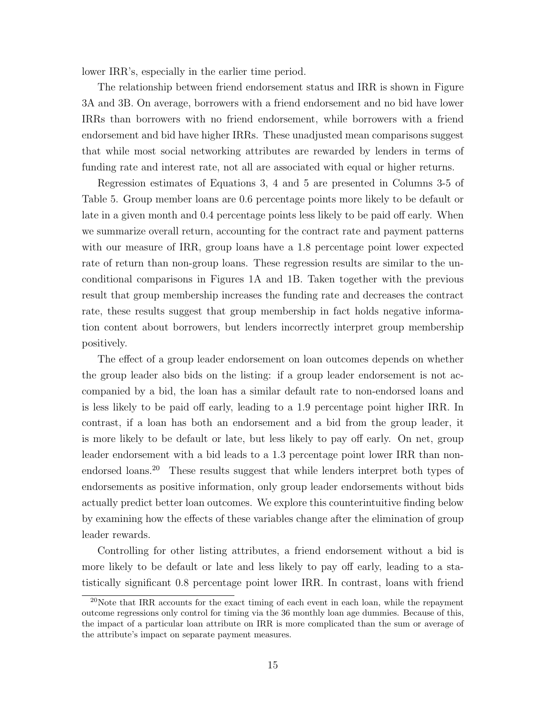lower IRR's, especially in the earlier time period.

The relationship between friend endorsement status and IRR is shown in Figure 3A and 3B. On average, borrowers with a friend endorsement and no bid have lower IRRs than borrowers with no friend endorsement, while borrowers with a friend endorsement and bid have higher IRRs. These unadjusted mean comparisons suggest that while most social networking attributes are rewarded by lenders in terms of funding rate and interest rate, not all are associated with equal or higher returns.

Regression estimates of Equations 3, 4 and 5 are presented in Columns 3-5 of Table 5. Group member loans are 0.6 percentage points more likely to be default or late in a given month and 0.4 percentage points less likely to be paid off early. When we summarize overall return, accounting for the contract rate and payment patterns with our measure of IRR, group loans have a 1.8 percentage point lower expected rate of return than non-group loans. These regression results are similar to the unconditional comparisons in Figures 1A and 1B. Taken together with the previous result that group membership increases the funding rate and decreases the contract rate, these results suggest that group membership in fact holds negative information content about borrowers, but lenders incorrectly interpret group membership positively.

The effect of a group leader endorsement on loan outcomes depends on whether the group leader also bids on the listing: if a group leader endorsement is not accompanied by a bid, the loan has a similar default rate to non-endorsed loans and is less likely to be paid off early, leading to a 1.9 percentage point higher IRR. In contrast, if a loan has both an endorsement and a bid from the group leader, it is more likely to be default or late, but less likely to pay off early. On net, group leader endorsement with a bid leads to a 1.3 percentage point lower IRR than non-endorsed loans.<sup>[20](#page-16-0)</sup> These results suggest that while lenders interpret both types of endorsements as positive information, only group leader endorsements without bids actually predict better loan outcomes. We explore this counterintuitive finding below by examining how the effects of these variables change after the elimination of group leader rewards.

Controlling for other listing attributes, a friend endorsement without a bid is more likely to be default or late and less likely to pay off early, leading to a statistically significant 0.8 percentage point lower IRR. In contrast, loans with friend

<span id="page-16-0"></span><sup>&</sup>lt;sup>20</sup>Note that IRR accounts for the exact timing of each event in each loan, while the repayment outcome regressions only control for timing via the 36 monthly loan age dummies. Because of this, the impact of a particular loan attribute on IRR is more complicated than the sum or average of the attribute's impact on separate payment measures.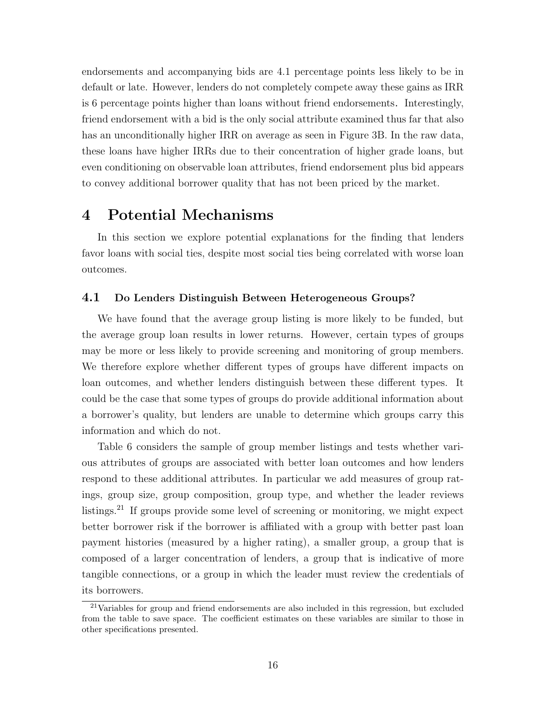endorsements and accompanying bids are 4.1 percentage points less likely to be in default or late. However, lenders do not completely compete away these gains as IRR is 6 percentage points higher than loans without friend endorsements. Interestingly, friend endorsement with a bid is the only social attribute examined thus far that also has an unconditionally higher IRR on average as seen in Figure 3B. In the raw data, these loans have higher IRRs due to their concentration of higher grade loans, but even conditioning on observable loan attributes, friend endorsement plus bid appears to convey additional borrower quality that has not been priced by the market.

## 4 Potential Mechanisms

In this section we explore potential explanations for the finding that lenders favor loans with social ties, despite most social ties being correlated with worse loan outcomes.

#### 4.1 Do Lenders Distinguish Between Heterogeneous Groups?

We have found that the average group listing is more likely to be funded, but the average group loan results in lower returns. However, certain types of groups may be more or less likely to provide screening and monitoring of group members. We therefore explore whether different types of groups have different impacts on loan outcomes, and whether lenders distinguish between these different types. It could be the case that some types of groups do provide additional information about a borrower's quality, but lenders are unable to determine which groups carry this information and which do not.

Table 6 considers the sample of group member listings and tests whether various attributes of groups are associated with better loan outcomes and how lenders respond to these additional attributes. In particular we add measures of group ratings, group size, group composition, group type, and whether the leader reviews listings.[21](#page-17-0) If groups provide some level of screening or monitoring, we might expect better borrower risk if the borrower is affiliated with a group with better past loan payment histories (measured by a higher rating), a smaller group, a group that is composed of a larger concentration of lenders, a group that is indicative of more tangible connections, or a group in which the leader must review the credentials of its borrowers.

<span id="page-17-0"></span><sup>21</sup>Variables for group and friend endorsements are also included in this regression, but excluded from the table to save space. The coefficient estimates on these variables are similar to those in other specifications presented.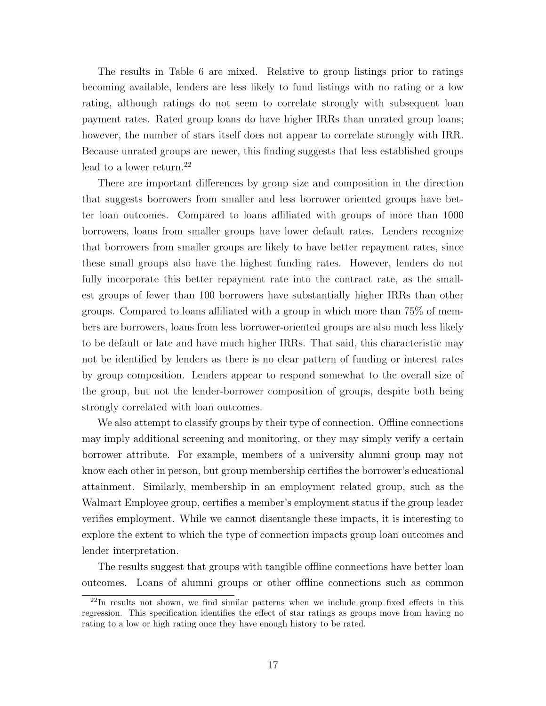The results in Table 6 are mixed. Relative to group listings prior to ratings becoming available, lenders are less likely to fund listings with no rating or a low rating, although ratings do not seem to correlate strongly with subsequent loan payment rates. Rated group loans do have higher IRRs than unrated group loans; however, the number of stars itself does not appear to correlate strongly with IRR. Because unrated groups are newer, this finding suggests that less established groups lead to a lower return. $^{22}$  $^{22}$  $^{22}$ 

There are important differences by group size and composition in the direction that suggests borrowers from smaller and less borrower oriented groups have better loan outcomes. Compared to loans affiliated with groups of more than 1000 borrowers, loans from smaller groups have lower default rates. Lenders recognize that borrowers from smaller groups are likely to have better repayment rates, since these small groups also have the highest funding rates. However, lenders do not fully incorporate this better repayment rate into the contract rate, as the smallest groups of fewer than 100 borrowers have substantially higher IRRs than other groups. Compared to loans affiliated with a group in which more than 75% of members are borrowers, loans from less borrower-oriented groups are also much less likely to be default or late and have much higher IRRs. That said, this characteristic may not be identified by lenders as there is no clear pattern of funding or interest rates by group composition. Lenders appear to respond somewhat to the overall size of the group, but not the lender-borrower composition of groups, despite both being strongly correlated with loan outcomes.

We also attempt to classify groups by their type of connection. Offline connections may imply additional screening and monitoring, or they may simply verify a certain borrower attribute. For example, members of a university alumni group may not know each other in person, but group membership certifies the borrower's educational attainment. Similarly, membership in an employment related group, such as the Walmart Employee group, certifies a member's employment status if the group leader verifies employment. While we cannot disentangle these impacts, it is interesting to explore the extent to which the type of connection impacts group loan outcomes and lender interpretation.

The results suggest that groups with tangible offline connections have better loan outcomes. Loans of alumni groups or other offline connections such as common

<span id="page-18-0"></span> $^{22}$ In results not shown, we find similar patterns when we include group fixed effects in this regression. This specification identifies the effect of star ratings as groups move from having no rating to a low or high rating once they have enough history to be rated.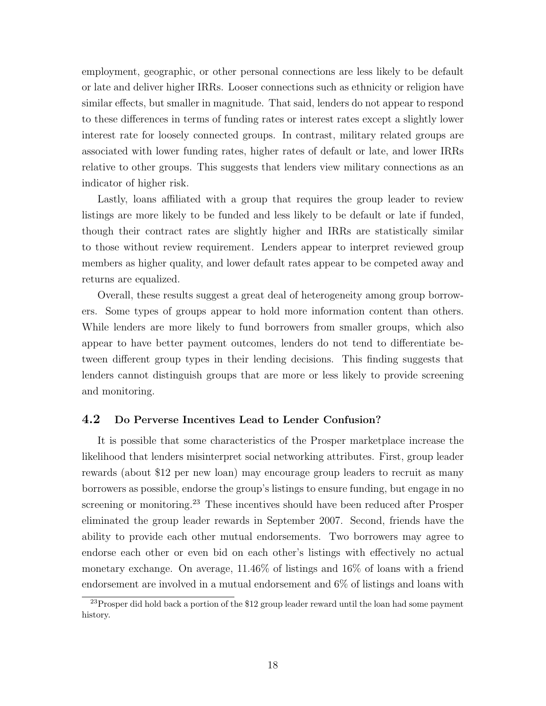employment, geographic, or other personal connections are less likely to be default or late and deliver higher IRRs. Looser connections such as ethnicity or religion have similar effects, but smaller in magnitude. That said, lenders do not appear to respond to these differences in terms of funding rates or interest rates except a slightly lower interest rate for loosely connected groups. In contrast, military related groups are associated with lower funding rates, higher rates of default or late, and lower IRRs relative to other groups. This suggests that lenders view military connections as an indicator of higher risk.

Lastly, loans affiliated with a group that requires the group leader to review listings are more likely to be funded and less likely to be default or late if funded, though their contract rates are slightly higher and IRRs are statistically similar to those without review requirement. Lenders appear to interpret reviewed group members as higher quality, and lower default rates appear to be competed away and returns are equalized.

Overall, these results suggest a great deal of heterogeneity among group borrowers. Some types of groups appear to hold more information content than others. While lenders are more likely to fund borrowers from smaller groups, which also appear to have better payment outcomes, lenders do not tend to differentiate between different group types in their lending decisions. This finding suggests that lenders cannot distinguish groups that are more or less likely to provide screening and monitoring.

### 4.2 Do Perverse Incentives Lead to Lender Confusion?

It is possible that some characteristics of the Prosper marketplace increase the likelihood that lenders misinterpret social networking attributes. First, group leader rewards (about \$12 per new loan) may encourage group leaders to recruit as many borrowers as possible, endorse the group's listings to ensure funding, but engage in no screening or monitoring.<sup>[23](#page-19-0)</sup> These incentives should have been reduced after Prosper eliminated the group leader rewards in September 2007. Second, friends have the ability to provide each other mutual endorsements. Two borrowers may agree to endorse each other or even bid on each other's listings with effectively no actual monetary exchange. On average, 11.46% of listings and 16% of loans with a friend endorsement are involved in a mutual endorsement and 6% of listings and loans with

<span id="page-19-0"></span> $^{23}$ Prosper did hold back a portion of the \$12 group leader reward until the loan had some payment history.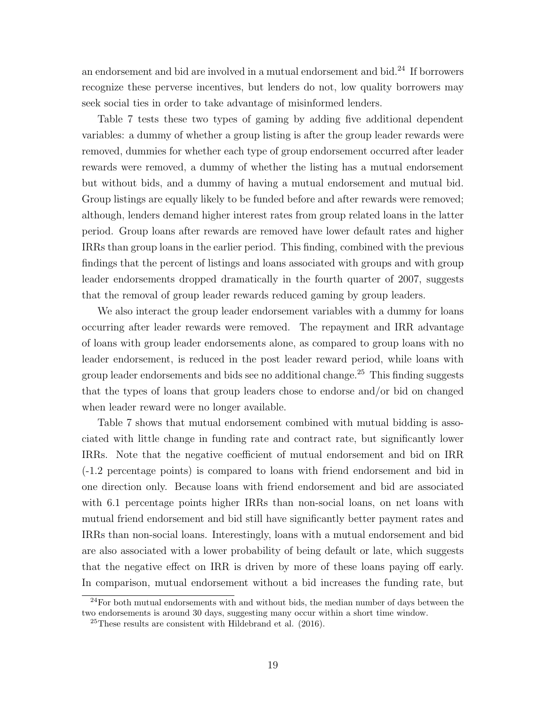an endorsement and bid are involved in a mutual endorsement and bid. $^{24}$  $^{24}$  $^{24}$  If borrowers recognize these perverse incentives, but lenders do not, low quality borrowers may seek social ties in order to take advantage of misinformed lenders.

Table 7 tests these two types of gaming by adding five additional dependent variables: a dummy of whether a group listing is after the group leader rewards were removed, dummies for whether each type of group endorsement occurred after leader rewards were removed, a dummy of whether the listing has a mutual endorsement but without bids, and a dummy of having a mutual endorsement and mutual bid. Group listings are equally likely to be funded before and after rewards were removed; although, lenders demand higher interest rates from group related loans in the latter period. Group loans after rewards are removed have lower default rates and higher IRRs than group loans in the earlier period. This finding, combined with the previous findings that the percent of listings and loans associated with groups and with group leader endorsements dropped dramatically in the fourth quarter of 2007, suggests that the removal of group leader rewards reduced gaming by group leaders.

We also interact the group leader endorsement variables with a dummy for loans occurring after leader rewards were removed. The repayment and IRR advantage of loans with group leader endorsements alone, as compared to group loans with no leader endorsement, is reduced in the post leader reward period, while loans with group leader endorsements and bids see no additional change.[25](#page-20-1) This finding suggests that the types of loans that group leaders chose to endorse and/or bid on changed when leader reward were no longer available.

Table 7 shows that mutual endorsement combined with mutual bidding is associated with little change in funding rate and contract rate, but significantly lower IRRs. Note that the negative coefficient of mutual endorsement and bid on IRR (-1.2 percentage points) is compared to loans with friend endorsement and bid in one direction only. Because loans with friend endorsement and bid are associated with 6.1 percentage points higher IRRs than non-social loans, on net loans with mutual friend endorsement and bid still have significantly better payment rates and IRRs than non-social loans. Interestingly, loans with a mutual endorsement and bid are also associated with a lower probability of being default or late, which suggests that the negative effect on IRR is driven by more of these loans paying off early. In comparison, mutual endorsement without a bid increases the funding rate, but

<span id="page-20-0"></span> $24$  For both mutual endorsements with and without bids, the median number of days between the two endorsements is around 30 days, suggesting many occur within a short time window.

<span id="page-20-1"></span> $25$ These results are consistent with Hildebrand et al.  $(2016)$ .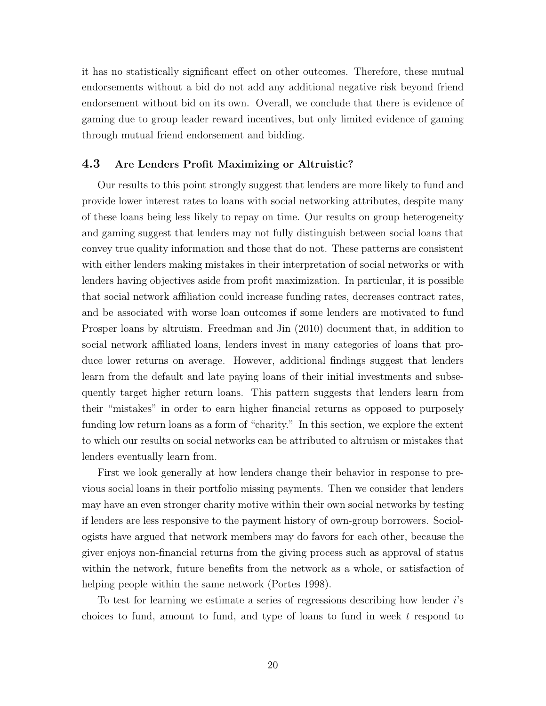it has no statistically significant effect on other outcomes. Therefore, these mutual endorsements without a bid do not add any additional negative risk beyond friend endorsement without bid on its own. Overall, we conclude that there is evidence of gaming due to group leader reward incentives, but only limited evidence of gaming through mutual friend endorsement and bidding.

### 4.3 Are Lenders Profit Maximizing or Altruistic?

Our results to this point strongly suggest that lenders are more likely to fund and provide lower interest rates to loans with social networking attributes, despite many of these loans being less likely to repay on time. Our results on group heterogeneity and gaming suggest that lenders may not fully distinguish between social loans that convey true quality information and those that do not. These patterns are consistent with either lenders making mistakes in their interpretation of social networks or with lenders having objectives aside from profit maximization. In particular, it is possible that social network affiliation could increase funding rates, decreases contract rates, and be associated with worse loan outcomes if some lenders are motivated to fund Prosper loans by altruism. Freedman and Jin (2010) document that, in addition to social network affiliated loans, lenders invest in many categories of loans that produce lower returns on average. However, additional findings suggest that lenders learn from the default and late paying loans of their initial investments and subsequently target higher return loans. This pattern suggests that lenders learn from their "mistakes" in order to earn higher financial returns as opposed to purposely funding low return loans as a form of "charity." In this section, we explore the extent to which our results on social networks can be attributed to altruism or mistakes that lenders eventually learn from.

First we look generally at how lenders change their behavior in response to previous social loans in their portfolio missing payments. Then we consider that lenders may have an even stronger charity motive within their own social networks by testing if lenders are less responsive to the payment history of own-group borrowers. Sociologists have argued that network members may do favors for each other, because the giver enjoys non-financial returns from the giving process such as approval of status within the network, future benefits from the network as a whole, or satisfaction of helping people within the same network (Portes 1998).

To test for learning we estimate a series of regressions describing how lender i's choices to fund, amount to fund, and type of loans to fund in week t respond to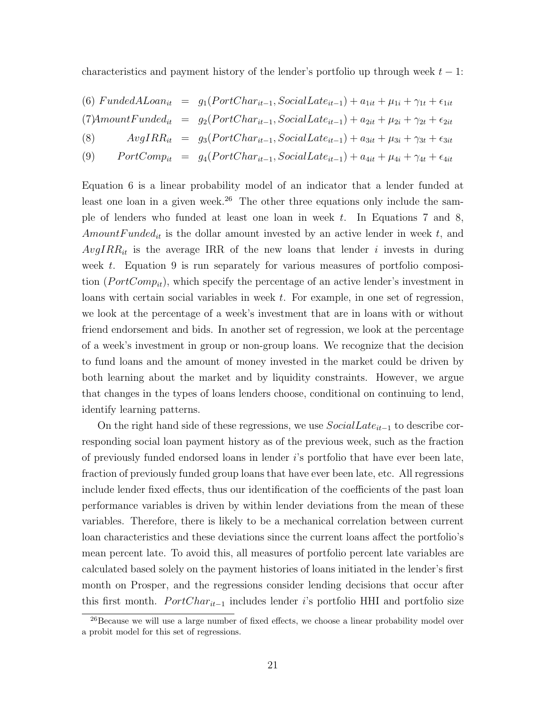characteristics and payment history of the lender's portfolio up through week  $t - 1$ :

(6) FundedALoan<sub>it</sub> = 
$$
g_1(PortChar_{it-1}, SocialLater_{it-1}) + a_{1it} + \mu_{1i} + \gamma_{1t} + \epsilon_{1it}
$$
  
\n(7)AmountFunded<sub>it</sub> =  $g_2(PortChar_{it-1}, SocialLater_{it-1}) + a_{2it} + \mu_{2i} + \gamma_{2t} + \epsilon_{2it}$   
\n(8)  $AvgIRR_{it} = g_3(PortChar_{it-1}, SocialLater_{it-1}) + a_{3it} + \mu_{3i} + \gamma_{3t} + \epsilon_{3it}$   
\n(9) PortComp<sub>it</sub> =  $g_4(PortChar_{it-1}, SocialLater_{it-1}) + a_{4it} + \mu_{4i} + \gamma_{4t} + \epsilon_{4it}$ 

Equation 6 is a linear probability model of an indicator that a lender funded at least one loan in a given week.<sup>[26](#page-22-0)</sup> The other three equations only include the sample of lenders who funded at least one loan in week  $t$ . In Equations 7 and 8,  $AmountF undefined_{it}$  is the dollar amount invested by an active lender in week t, and  $AvgIRR_{it}$  is the average IRR of the new loans that lender i invests in during week t. Equation 9 is run separately for various measures of portfolio composition  $(PortComp_{it})$ , which specify the percentage of an active lender's investment in loans with certain social variables in week t. For example, in one set of regression, we look at the percentage of a week's investment that are in loans with or without friend endorsement and bids. In another set of regression, we look at the percentage of a week's investment in group or non-group loans. We recognize that the decision to fund loans and the amount of money invested in the market could be driven by both learning about the market and by liquidity constraints. However, we argue that changes in the types of loans lenders choose, conditional on continuing to lend, identify learning patterns.

On the right hand side of these regressions, we use  $SocialDate_{it-1}$  to describe corresponding social loan payment history as of the previous week, such as the fraction of previously funded endorsed loans in lender i's portfolio that have ever been late, fraction of previously funded group loans that have ever been late, etc. All regressions include lender fixed effects, thus our identification of the coefficients of the past loan performance variables is driven by within lender deviations from the mean of these variables. Therefore, there is likely to be a mechanical correlation between current loan characteristics and these deviations since the current loans affect the portfolio's mean percent late. To avoid this, all measures of portfolio percent late variables are calculated based solely on the payment histories of loans initiated in the lender's first month on Prosper, and the regressions consider lending decisions that occur after this first month.  $PortChar_{it-1}$  includes lender i's portfolio HHI and portfolio size

<span id="page-22-0"></span><sup>&</sup>lt;sup>26</sup>Because we will use a large number of fixed effects, we choose a linear probability model over a probit model for this set of regressions.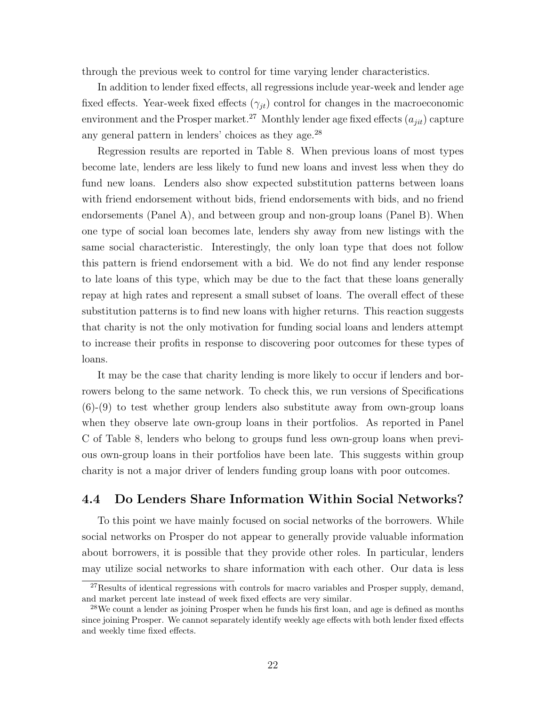through the previous week to control for time varying lender characteristics.

In addition to lender fixed effects, all regressions include year-week and lender age fixed effects. Year-week fixed effects  $(\gamma_{it})$  control for changes in the macroeconomic environment and the Prosper market.<sup>[27](#page-23-0)</sup> Monthly lender age fixed effects  $(a_{ijt})$  capture any general pattern in lenders' choices as they age.[28](#page-23-1)

Regression results are reported in Table 8. When previous loans of most types become late, lenders are less likely to fund new loans and invest less when they do fund new loans. Lenders also show expected substitution patterns between loans with friend endorsement without bids, friend endorsements with bids, and no friend endorsements (Panel A), and between group and non-group loans (Panel B). When one type of social loan becomes late, lenders shy away from new listings with the same social characteristic. Interestingly, the only loan type that does not follow this pattern is friend endorsement with a bid. We do not find any lender response to late loans of this type, which may be due to the fact that these loans generally repay at high rates and represent a small subset of loans. The overall effect of these substitution patterns is to find new loans with higher returns. This reaction suggests that charity is not the only motivation for funding social loans and lenders attempt to increase their profits in response to discovering poor outcomes for these types of loans.

It may be the case that charity lending is more likely to occur if lenders and borrowers belong to the same network. To check this, we run versions of Specifications (6)-(9) to test whether group lenders also substitute away from own-group loans when they observe late own-group loans in their portfolios. As reported in Panel C of Table 8, lenders who belong to groups fund less own-group loans when previous own-group loans in their portfolios have been late. This suggests within group charity is not a major driver of lenders funding group loans with poor outcomes.

### 4.4 Do Lenders Share Information Within Social Networks?

To this point we have mainly focused on social networks of the borrowers. While social networks on Prosper do not appear to generally provide valuable information about borrowers, it is possible that they provide other roles. In particular, lenders may utilize social networks to share information with each other. Our data is less

<span id="page-23-0"></span> $27$ Results of identical regressions with controls for macro variables and Prosper supply, demand, and market percent late instead of week fixed effects are very similar.

<span id="page-23-1"></span><sup>&</sup>lt;sup>28</sup>We count a lender as joining Prosper when he funds his first loan, and age is defined as months since joining Prosper. We cannot separately identify weekly age effects with both lender fixed effects and weekly time fixed effects.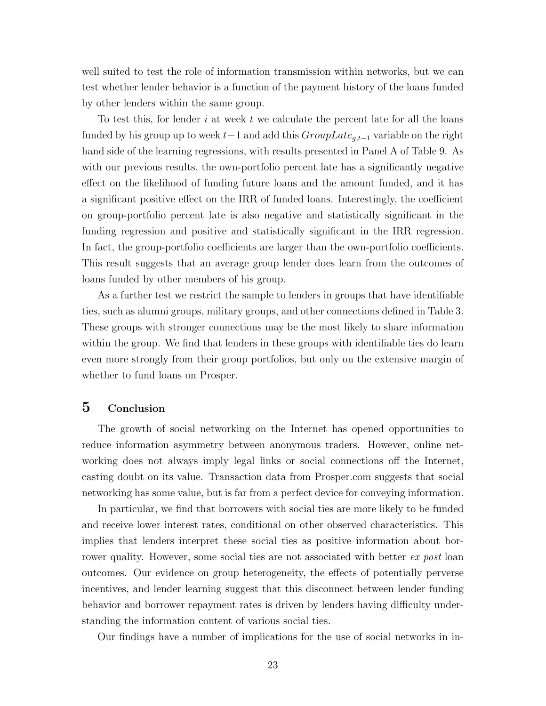well suited to test the role of information transmission within networks, but we can test whether lender behavior is a function of the payment history of the loans funded by other lenders within the same group.

To test this, for lender i at week t we calculate the percent late for all the loans funded by his group up to week  $t-1$  and add this  $Group Late_{g,t-1}$  variable on the right hand side of the learning regressions, with results presented in Panel A of Table 9. As with our previous results, the own-portfolio percent late has a significantly negative effect on the likelihood of funding future loans and the amount funded, and it has a significant positive effect on the IRR of funded loans. Interestingly, the coefficient on group-portfolio percent late is also negative and statistically significant in the funding regression and positive and statistically significant in the IRR regression. In fact, the group-portfolio coefficients are larger than the own-portfolio coefficients. This result suggests that an average group lender does learn from the outcomes of loans funded by other members of his group.

As a further test we restrict the sample to lenders in groups that have identifiable ties, such as alumni groups, military groups, and other connections defined in Table 3. These groups with stronger connections may be the most likely to share information within the group. We find that lenders in these groups with identifiable ties do learn even more strongly from their group portfolios, but only on the extensive margin of whether to fund loans on Prosper.

## 5 Conclusion

The growth of social networking on the Internet has opened opportunities to reduce information asymmetry between anonymous traders. However, online networking does not always imply legal links or social connections off the Internet, casting doubt on its value. Transaction data from Prosper.com suggests that social networking has some value, but is far from a perfect device for conveying information.

In particular, we find that borrowers with social ties are more likely to be funded and receive lower interest rates, conditional on other observed characteristics. This implies that lenders interpret these social ties as positive information about borrower quality. However, some social ties are not associated with better ex post loan outcomes. Our evidence on group heterogeneity, the effects of potentially perverse incentives, and lender learning suggest that this disconnect between lender funding behavior and borrower repayment rates is driven by lenders having difficulty understanding the information content of various social ties.

Our findings have a number of implications for the use of social networks in in-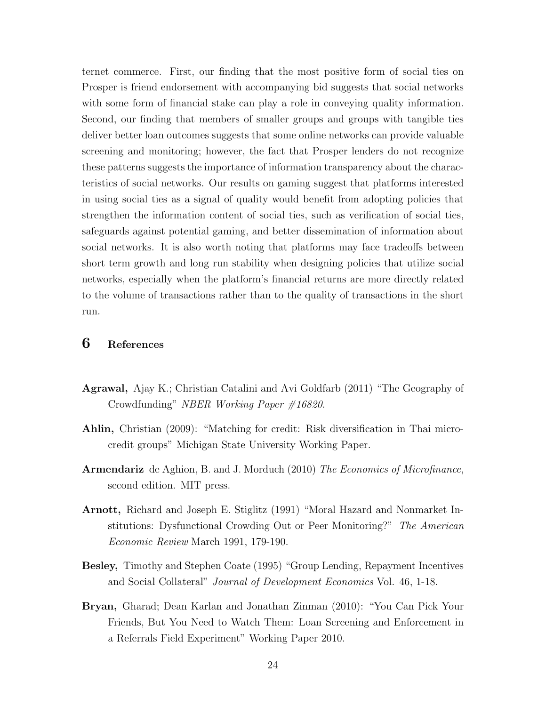ternet commerce. First, our finding that the most positive form of social ties on Prosper is friend endorsement with accompanying bid suggests that social networks with some form of financial stake can play a role in conveying quality information. Second, our finding that members of smaller groups and groups with tangible ties deliver better loan outcomes suggests that some online networks can provide valuable screening and monitoring; however, the fact that Prosper lenders do not recognize these patterns suggests the importance of information transparency about the characteristics of social networks. Our results on gaming suggest that platforms interested in using social ties as a signal of quality would benefit from adopting policies that strengthen the information content of social ties, such as verification of social ties, safeguards against potential gaming, and better dissemination of information about social networks. It is also worth noting that platforms may face tradeoffs between short term growth and long run stability when designing policies that utilize social networks, especially when the platform's financial returns are more directly related to the volume of transactions rather than to the quality of transactions in the short run.

## 6 References

- Agrawal, Ajay K.; Christian Catalini and Avi Goldfarb (2011) "The Geography of Crowdfunding" NBER Working Paper #16820.
- Ahlin, Christian (2009): "Matching for credit: Risk diversification in Thai microcredit groups" Michigan State University Working Paper.
- Armendariz de Aghion, B. and J. Morduch (2010) The Economics of Microfinance, second edition. MIT press.
- Arnott, Richard and Joseph E. Stiglitz (1991) "Moral Hazard and Nonmarket Institutions: Dysfunctional Crowding Out or Peer Monitoring?" The American Economic Review March 1991, 179-190.
- Besley, Timothy and Stephen Coate (1995) "Group Lending, Repayment Incentives and Social Collateral" Journal of Development Economics Vol. 46, 1-18.
- Bryan, Gharad; Dean Karlan and Jonathan Zinman (2010): "You Can Pick Your Friends, But You Need to Watch Them: Loan Screening and Enforcement in a Referrals Field Experiment" Working Paper 2010.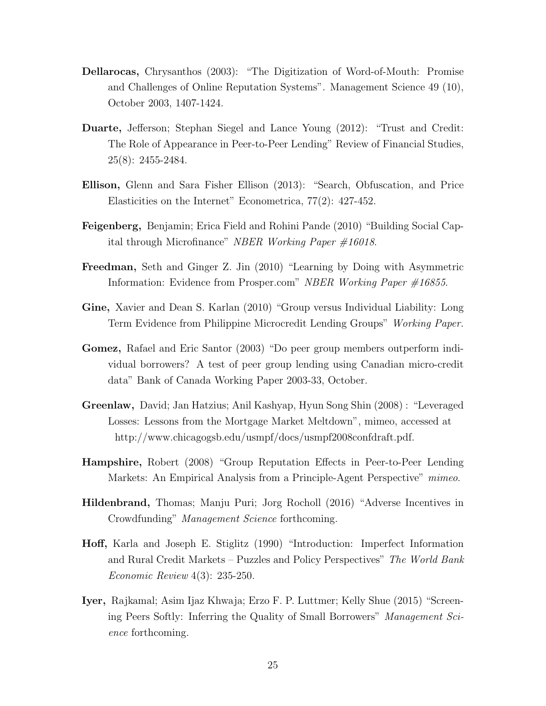- Dellarocas, Chrysanthos (2003): "The Digitization of Word-of-Mouth: Promise and Challenges of Online Reputation Systems". Management Science 49 (10), October 2003, 1407-1424.
- Duarte, Jefferson; Stephan Siegel and Lance Young (2012): "Trust and Credit: The Role of Appearance in Peer-to-Peer Lending" Review of Financial Studies, 25(8): 2455-2484.
- Ellison, Glenn and Sara Fisher Ellison (2013): "Search, Obfuscation, and Price Elasticities on the Internet" Econometrica, 77(2): 427-452.
- Feigenberg, Benjamin; Erica Field and Rohini Pande (2010) "Building Social Capital through Microfinance" NBER Working Paper #16018.
- Freedman, Seth and Ginger Z. Jin (2010) "Learning by Doing with Asymmetric Information: Evidence from Prosper.com" NBER Working Paper #16855.
- Gine, Xavier and Dean S. Karlan (2010) "Group versus Individual Liability: Long Term Evidence from Philippine Microcredit Lending Groups" Working Paper.
- Gomez, Rafael and Eric Santor (2003) "Do peer group members outperform individual borrowers? A test of peer group lending using Canadian micro-credit data" Bank of Canada Working Paper 2003-33, October.
- Greenlaw, David; Jan Hatzius; Anil Kashyap, Hyun Song Shin (2008) : "Leveraged Losses: Lessons from the Mortgage Market Meltdown", mimeo, accessed at http://www.chicagogsb.edu/usmpf/docs/usmpf2008confdraft.pdf.
- Hampshire, Robert (2008) "Group Reputation Effects in Peer-to-Peer Lending Markets: An Empirical Analysis from a Principle-Agent Perspective" mimeo.
- Hildenbrand, Thomas; Manju Puri; Jorg Rocholl (2016) "Adverse Incentives in Crowdfunding" Management Science forthcoming.
- Hoff, Karla and Joseph E. Stiglitz (1990) "Introduction: Imperfect Information and Rural Credit Markets – Puzzles and Policy Perspectives" The World Bank Economic Review 4(3): 235-250.
- Iyer, Rajkamal; Asim Ijaz Khwaja; Erzo F. P. Luttmer; Kelly Shue (2015) "Screening Peers Softly: Inferring the Quality of Small Borrowers" Management Science forthcoming.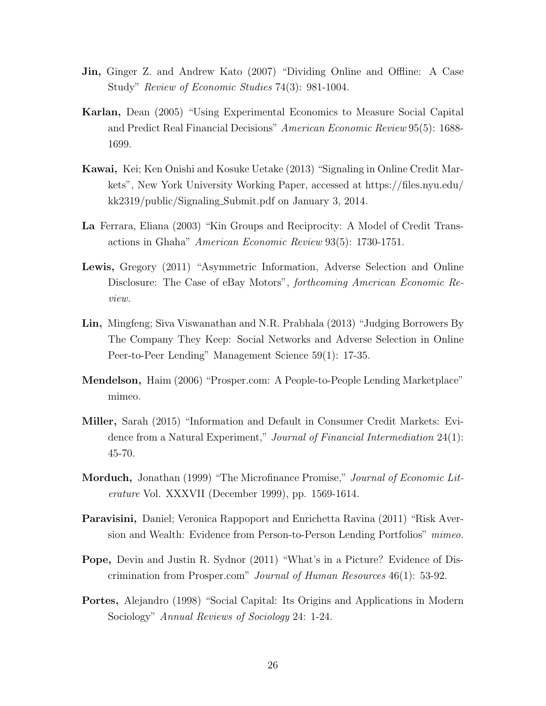- Jin, Ginger Z. and Andrew Kato (2007) "Dividing Online and Offline: A Case Study" Review of Economic Studies 74(3): 981-1004.
- Karlan, Dean (2005) "Using Experimental Economics to Measure Social Capital and Predict Real Financial Decisions" American Economic Review 95(5): 1688- 1699.
- Kawai, Kei; Ken Onishi and Kosuke Uetake (2013) "Signaling in Online Credit Markets", New York University Working Paper, accessed at https://files.nyu.edu/ kk2319/public/Signaling Submit.pdf on January 3, 2014.
- La Ferrara, Eliana (2003) "Kin Groups and Reciprocity: A Model of Credit Transactions in Ghaha" American Economic Review 93(5): 1730-1751.
- Lewis, Gregory (2011) "Asymmetric Information, Adverse Selection and Online Disclosure: The Case of eBay Motors", forthcoming American Economic Review.
- Lin, Mingfeng; Siva Viswanathan and N.R. Prabhala (2013) "Judging Borrowers By The Company They Keep: Social Networks and Adverse Selection in Online Peer-to-Peer Lending" Management Science 59(1): 17-35.
- Mendelson, Haim (2006) "Prosper.com: A People-to-People Lending Marketplace" mimeo.
- Miller, Sarah (2015) "Information and Default in Consumer Credit Markets: Evidence from a Natural Experiment," Journal of Financial Intermediation 24(1): 45-70.
- **Morduch,** Jonathan (1999) "The Microfinance Promise," Journal of Economic Literature Vol. XXXVII (December 1999), pp. 1569-1614.
- Paravisini, Daniel; Veronica Rappoport and Enrichetta Ravina (2011) "Risk Aversion and Wealth: Evidence from Person-to-Person Lending Portfolios" mimeo.
- Pope, Devin and Justin R. Sydnor (2011) "What's in a Picture? Evidence of Discrimination from Prosper.com" Journal of Human Resources 46(1): 53-92.
- Portes, Alejandro (1998) "Social Capital: Its Origins and Applications in Modern Sociology" Annual Reviews of Sociology 24: 1-24.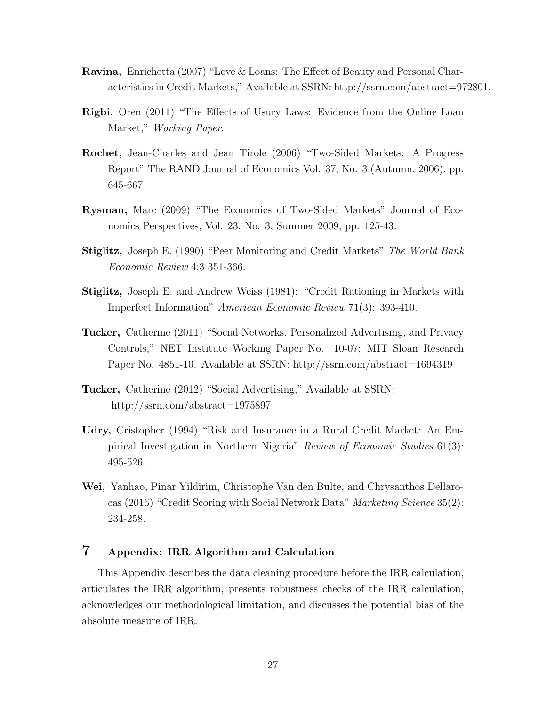- Ravina, Enrichetta (2007) "Love & Loans: The Effect of Beauty and Personal Characteristics in Credit Markets," Available at SSRN: http://ssrn.com/abstract=972801.
- Rigbi, Oren (2011) "The Effects of Usury Laws: Evidence from the Online Loan Market," Working Paper.
- Rochet, Jean-Charles and Jean Tirole (2006) "Two-Sided Markets: A Progress Report" The RAND Journal of Economics Vol. 37, No. 3 (Autumn, 2006), pp. 645-667
- Rysman, Marc (2009) "The Economics of Two-Sided Markets" Journal of Economics Perspectives, Vol. 23, No. 3, Summer 2009, pp. 125-43.
- Stiglitz, Joseph E. (1990) "Peer Monitoring and Credit Markets" The World Bank Economic Review 4:3 351-366.
- Stiglitz, Joseph E. and Andrew Weiss (1981): "Credit Rationing in Markets with Imperfect Information" American Economic Review 71(3): 393-410.
- Tucker, Catherine (2011) "Social Networks, Personalized Advertising, and Privacy Controls," NET Institute Working Paper No. 10-07; MIT Sloan Research Paper No. 4851-10. Available at SSRN: http://ssrn.com/abstract=1694319
- Tucker, Catherine (2012) "Social Advertising," Available at SSRN: http://ssrn.com/abstract=1975897
- Udry, Cristopher (1994) "Risk and Insurance in a Rural Credit Market: An Empirical Investigation in Northern Nigeria" Review of Economic Studies 61(3): 495-526.
- Wei, Yanhao, Pinar Yildirim, Christophe Van den Bulte, and Chrysanthos Dellarocas (2016) "Credit Scoring with Social Network Data" Marketing Science 35(2): 234-258.

## 7 Appendix: IRR Algorithm and Calculation

This Appendix describes the data cleaning procedure before the IRR calculation, articulates the IRR algorithm, presents robustness checks of the IRR calculation, acknowledges our methodological limitation, and discusses the potential bias of the absolute measure of IRR.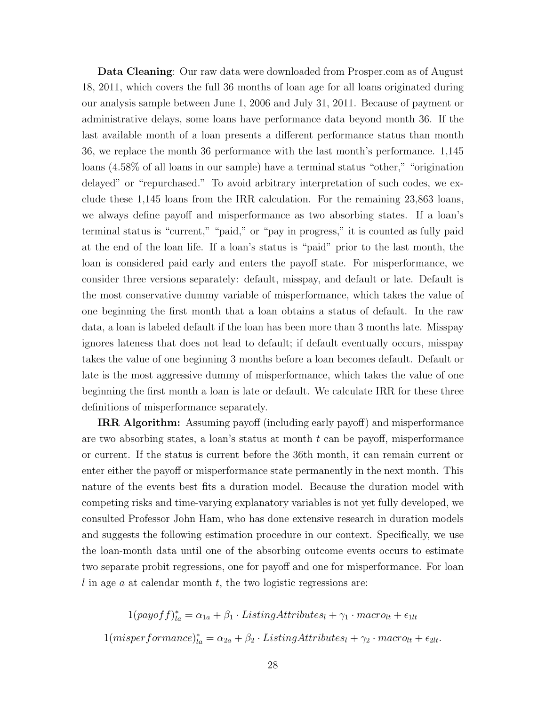Data Cleaning: Our raw data were downloaded from Prosper.com as of August 18, 2011, which covers the full 36 months of loan age for all loans originated during our analysis sample between June 1, 2006 and July 31, 2011. Because of payment or administrative delays, some loans have performance data beyond month 36. If the last available month of a loan presents a different performance status than month 36, we replace the month 36 performance with the last month's performance. 1,145 loans (4.58% of all loans in our sample) have a terminal status "other," "origination delayed" or "repurchased." To avoid arbitrary interpretation of such codes, we exclude these 1,145 loans from the IRR calculation. For the remaining 23,863 loans, we always define payoff and misperformance as two absorbing states. If a loan's terminal status is "current," "paid," or "pay in progress," it is counted as fully paid at the end of the loan life. If a loan's status is "paid" prior to the last month, the loan is considered paid early and enters the payoff state. For misperformance, we consider three versions separately: default, misspay, and default or late. Default is the most conservative dummy variable of misperformance, which takes the value of one beginning the first month that a loan obtains a status of default. In the raw data, a loan is labeled default if the loan has been more than 3 months late. Misspay ignores lateness that does not lead to default; if default eventually occurs, misspay takes the value of one beginning 3 months before a loan becomes default. Default or late is the most aggressive dummy of misperformance, which takes the value of one beginning the first month a loan is late or default. We calculate IRR for these three definitions of misperformance separately.

IRR Algorithm: Assuming payoff (including early payoff) and misperformance are two absorbing states, a loan's status at month  $t$  can be payoff, misperformance or current. If the status is current before the 36th month, it can remain current or enter either the payoff or misperformance state permanently in the next month. This nature of the events best fits a duration model. Because the duration model with competing risks and time-varying explanatory variables is not yet fully developed, we consulted Professor John Ham, who has done extensive research in duration models and suggests the following estimation procedure in our context. Specifically, we use the loan-month data until one of the absorbing outcome events occurs to estimate two separate probit regressions, one for payoff and one for misperformance. For loan l in age a at calendar month  $t$ , the two logistic regressions are:

 $1(payof f)^*_{la} = \alpha_{1a} + \beta_1 \cdot ListingAttributes_1 + \gamma_1 \cdot macro_{lt} + \epsilon_{1lt}$  $1(misperformance)^{*}_{la} = \alpha_{2a} + \beta_2 \cdot ListingAttributes_l + \gamma_2 \cdot macro_{lt} + \epsilon_{2lt}.$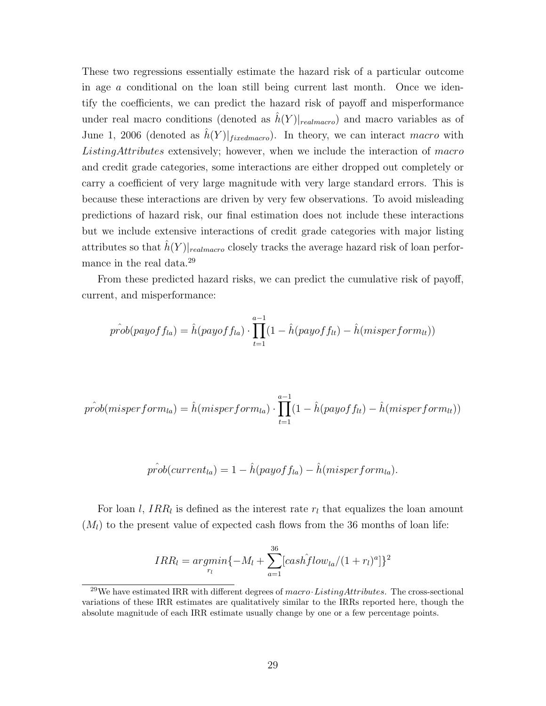These two regressions essentially estimate the hazard risk of a particular outcome in age  $\alpha$  conditional on the loan still being current last month. Once we identify the coefficients, we can predict the hazard risk of payoff and misperformance under real macro conditions (denoted as  $\hat{h}(Y)|_{\text{realmaco}}$ ) and macro variables as of June 1, 2006 (denoted as  $\hat{h}(Y)|_{\text{fixedmacro}}$ ). In theory, we can interact macro with ListingAttributes extensively; however, when we include the interaction of macro and credit grade categories, some interactions are either dropped out completely or carry a coefficient of very large magnitude with very large standard errors. This is because these interactions are driven by very few observations. To avoid misleading predictions of hazard risk, our final estimation does not include these interactions but we include extensive interactions of credit grade categories with major listing attributes so that  $h(Y)|_{\text{realmarro}}$  closely tracks the average hazard risk of loan performance in the real data.[29](#page-30-0)

From these predicted hazard risks, we can predict the cumulative risk of payoff, current, and misperformance:

$$
\hat{prob}(payoff_{la}) = \hat{h}(payoff_{la}) \cdot \prod_{t=1}^{a-1} (1 - \hat{h}(payoff_{lt}) - \hat{h}(misperform_{lt}))
$$

$$
\hat{prob}(\text{misperform}_{la}) = \hat{h}(\text{misperform}_{la}) \cdot \prod_{t=1}^{a-1} (1 - \hat{h}(\text{payoff}_{lt}) - \hat{h}(\text{misperform}_{lt}))
$$

$$
\hat{prob}(\text{current}_{la}) = 1 - \hat{h}(\text{payoff}_{la}) - \hat{h}(\text{misperform}_{la}).
$$

For loan l,  $IRR_l$  is defined as the interest rate  $r_l$  that equalizes the loan amount  $(M_l)$  to the present value of expected cash flows from the 36 months of loan life:

$$
IRR_l = argmin_{r_l} \{-M_l + \sum_{a=1}^{36} [cash\hat{f}low_{la}/(1+r_l)^a]\}^2
$$

<span id="page-30-0"></span><sup>&</sup>lt;sup>29</sup>We have estimated IRR with different degrees of macro·ListingAttributes. The cross-sectional variations of these IRR estimates are qualitatively similar to the IRRs reported here, though the absolute magnitude of each IRR estimate usually change by one or a few percentage points.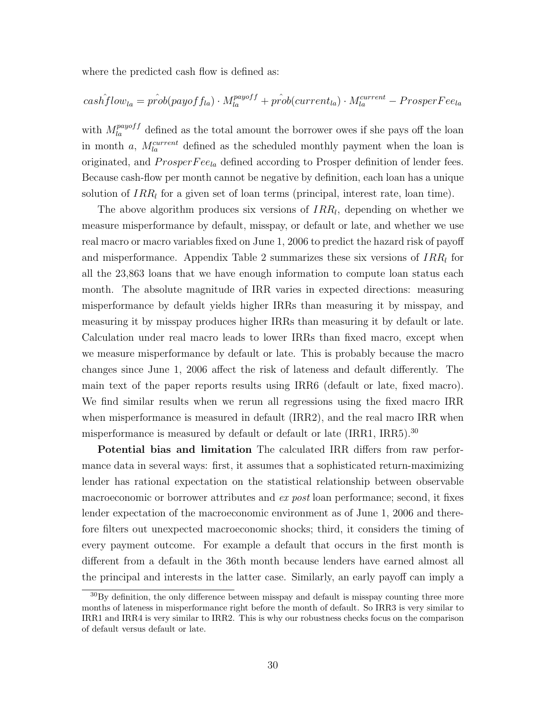where the predicted cash flow is defined as:

$$
cash\hat{f}low_{la} = \hat{prob}(payoff_{la}) \cdot M_{la}^{payoff} + \hat{prob}(current_{la}) \cdot M_{la}^{current} - ProsperFe_{la}
$$

with  $M_{la}^{payoff}$  defined as the total amount the borrower owes if she pays off the loan in month a,  $M_{la}^{current}$  defined as the scheduled monthly payment when the loan is originated, and  $ProsperFee_{la}$  defined according to Prosper definition of lender fees. Because cash-flow per month cannot be negative by definition, each loan has a unique solution of  $IRR<sub>l</sub>$  for a given set of loan terms (principal, interest rate, loan time).

The above algorithm produces six versions of  $IRR_l$ , depending on whether we measure misperformance by default, misspay, or default or late, and whether we use real macro or macro variables fixed on June 1, 2006 to predict the hazard risk of payoff and misperformance. Appendix Table 2 summarizes these six versions of  $IRR<sub>l</sub>$  for all the 23,863 loans that we have enough information to compute loan status each month. The absolute magnitude of IRR varies in expected directions: measuring misperformance by default yields higher IRRs than measuring it by misspay, and measuring it by misspay produces higher IRRs than measuring it by default or late. Calculation under real macro leads to lower IRRs than fixed macro, except when we measure misperformance by default or late. This is probably because the macro changes since June 1, 2006 affect the risk of lateness and default differently. The main text of the paper reports results using IRR6 (default or late, fixed macro). We find similar results when we rerun all regressions using the fixed macro IRR when misperformance is measured in default (IRR2), and the real macro IRR when misperformance is measured by default or default or late (IRR1, IRR5).[30](#page-31-0)

Potential bias and limitation The calculated IRR differs from raw performance data in several ways: first, it assumes that a sophisticated return-maximizing lender has rational expectation on the statistical relationship between observable macroeconomic or borrower attributes and ex post loan performance; second, it fixes lender expectation of the macroeconomic environment as of June 1, 2006 and therefore filters out unexpected macroeconomic shocks; third, it considers the timing of every payment outcome. For example a default that occurs in the first month is different from a default in the 36th month because lenders have earned almost all the principal and interests in the latter case. Similarly, an early payoff can imply a

<span id="page-31-0"></span><sup>&</sup>lt;sup>30</sup>By definition, the only difference between misspay and default is misspay counting three more months of lateness in misperformance right before the month of default. So IRR3 is very similar to IRR1 and IRR4 is very similar to IRR2. This is why our robustness checks focus on the comparison of default versus default or late.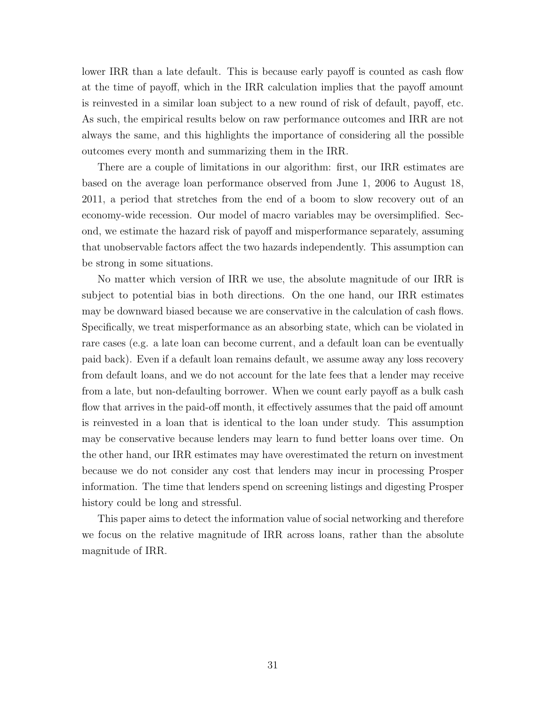lower IRR than a late default. This is because early payoff is counted as cash flow at the time of payoff, which in the IRR calculation implies that the payoff amount is reinvested in a similar loan subject to a new round of risk of default, payoff, etc. As such, the empirical results below on raw performance outcomes and IRR are not always the same, and this highlights the importance of considering all the possible outcomes every month and summarizing them in the IRR.

There are a couple of limitations in our algorithm: first, our IRR estimates are based on the average loan performance observed from June 1, 2006 to August 18, 2011, a period that stretches from the end of a boom to slow recovery out of an economy-wide recession. Our model of macro variables may be oversimplified. Second, we estimate the hazard risk of payoff and misperformance separately, assuming that unobservable factors affect the two hazards independently. This assumption can be strong in some situations.

No matter which version of IRR we use, the absolute magnitude of our IRR is subject to potential bias in both directions. On the one hand, our IRR estimates may be downward biased because we are conservative in the calculation of cash flows. Specifically, we treat misperformance as an absorbing state, which can be violated in rare cases (e.g. a late loan can become current, and a default loan can be eventually paid back). Even if a default loan remains default, we assume away any loss recovery from default loans, and we do not account for the late fees that a lender may receive from a late, but non-defaulting borrower. When we count early payoff as a bulk cash flow that arrives in the paid-off month, it effectively assumes that the paid off amount is reinvested in a loan that is identical to the loan under study. This assumption may be conservative because lenders may learn to fund better loans over time. On the other hand, our IRR estimates may have overestimated the return on investment because we do not consider any cost that lenders may incur in processing Prosper information. The time that lenders spend on screening listings and digesting Prosper history could be long and stressful.

This paper aims to detect the information value of social networking and therefore we focus on the relative magnitude of IRR across loans, rather than the absolute magnitude of IRR.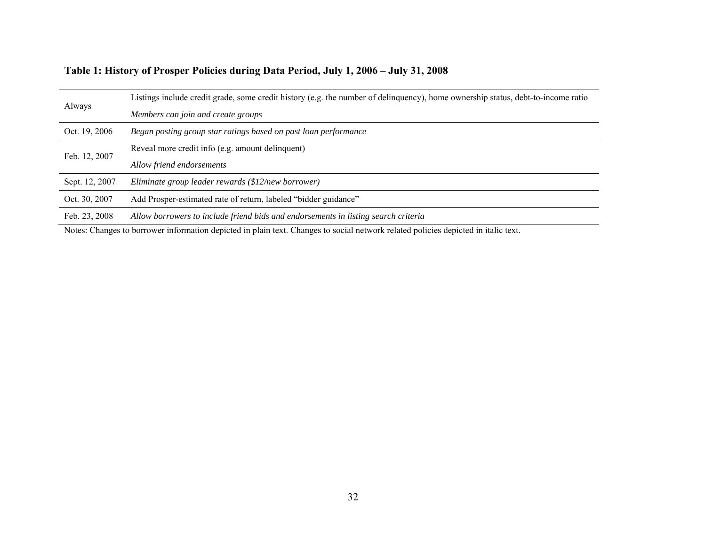|  | Table 1: History of Prosper Policies during Data Period, July 1, 2006 – July 31, 2008 |  |  |
|--|---------------------------------------------------------------------------------------|--|--|
|  |                                                                                       |  |  |

| Always         | Listings include credit grade, some credit history (e.g. the number of delinguency), home ownership status, debt-to-income ratio |  |  |  |  |  |
|----------------|----------------------------------------------------------------------------------------------------------------------------------|--|--|--|--|--|
|                | Members can join and create groups                                                                                               |  |  |  |  |  |
| Oct. 19, 2006  | Began posting group star ratings based on past loan performance                                                                  |  |  |  |  |  |
| Feb. 12, 2007  | Reveal more credit info (e.g. amount delinquent)                                                                                 |  |  |  |  |  |
|                | Allow friend endorsements                                                                                                        |  |  |  |  |  |
| Sept. 12, 2007 | Eliminate group leader rewards (\$12/new borrower)                                                                               |  |  |  |  |  |
| Oct. 30, 2007  | Add Prosper-estimated rate of return, labeled "bidder guidance"                                                                  |  |  |  |  |  |
| Feb. 23, 2008  | Allow borrowers to include friend bids and endorsements in listing search criteria                                               |  |  |  |  |  |

Notes: Changes to borrower information depicted in plain text. Changes to social network related policies depicted in italic text.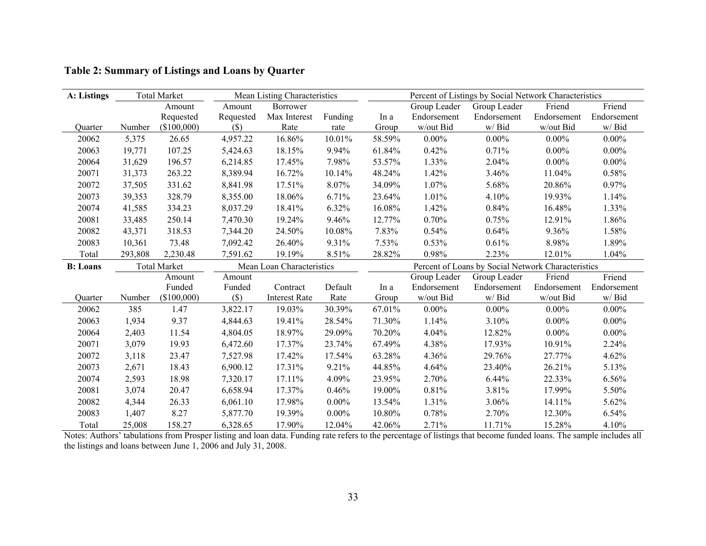| A: Listings      |         | <b>Total Market</b> |           | Mean Listing Characteristics |          | Percent of Listings by Social Network Characteristics |              |              |             |             |
|------------------|---------|---------------------|-----------|------------------------------|----------|-------------------------------------------------------|--------------|--------------|-------------|-------------|
|                  |         | Amount              | Amount    | <b>Borrower</b>              |          |                                                       | Group Leader | Group Leader | Friend      | Friend      |
|                  |         | Requested           | Requested | Max Interest                 | Funding  | In a                                                  | Endorsement  | Endorsement  | Endorsement | Endorsement |
| Ouarter          | Number  | (\$100,000)         | (S)       | Rate                         | rate     | Group                                                 | w/out Bid    | w/ Bid       | w/out Bid   | w/Bid       |
| 20062            | 5,375   | 26.65               | 4,957.22  | 16.86%                       | 10.01%   | 58.59%                                                | $0.00\%$     | $0.00\%$     | $0.00\%$    | $0.00\%$    |
| 20063            | 19,771  | 107.25              | 5,424.63  | 18.15%                       | 9.94%    | 61.84%                                                | 0.42%        | 0.71%        | $0.00\%$    | $0.00\%$    |
| 20064            | 31,629  | 196.57              | 6,214.85  | 17.45%                       | 7.98%    | 53.57%                                                | 1.33%        | 2.04%        | $0.00\%$    | $0.00\%$    |
| 20071            | 31,373  | 263.22              | 8,389.94  | 16.72%                       | 10.14%   | 48.24%                                                | 1.42%        | 3.46%        | 11.04%      | 0.58%       |
| 20072            | 37,505  | 331.62              | 8,841.98  | 17.51%                       | 8.07%    | 34.09%                                                | 1.07%        | 5.68%        | 20.86%      | 0.97%       |
| 20073            | 39,353  | 328.79              | 8,355.00  | 18.06%                       | 6.71%    | 23.64%                                                | 1.01%        | 4.10%        | 19.93%      | 1.14%       |
| 20074            | 41,585  | 334.23              | 8,037.29  | 18.41%                       | 6.32%    | 16.08%                                                | 1.42%        | 0.84%        | 16.48%      | 1.33%       |
| 20081            | 33,485  | 250.14              | 7,470.30  | 19.24%                       | 9.46%    | 12.77%                                                | 0.70%        | 0.75%        | 12.91%      | 1.86%       |
| 20082            | 43,371  | 318.53              | 7,344.20  | 24.50%                       | 10.08%   | 7.83%                                                 | 0.54%        | $0.64\%$     | 9.36%       | 1.58%       |
| 20083            | 10,361  | 73.48               | 7,092.42  | 26.40%                       | 9.31%    | 7.53%                                                 | 0.53%        | 0.61%        | 8.98%       | 1.89%       |
| Total            | 293,808 | 2,230.48            | 7,591.62  | 19.19%                       | 8.51%    | 28.82%                                                | 0.98%        | 2.23%        | 12.01%      | 1.04%       |
|                  |         |                     |           |                              |          | Percent of Loans by Social Network Characteristics    |              |              |             |             |
| <b>B</b> : Loans |         | <b>Total Market</b> |           | Mean Loan Characteristics    |          |                                                       |              |              |             |             |
|                  |         | Amount              | Amount    |                              |          |                                                       | Group Leader | Group Leader | Friend      | Friend      |
|                  |         | Funded              | Funded    | Contract                     | Default  | In a                                                  | Endorsement  | Endorsement  | Endorsement | Endorsement |
| Ouarter          | Number  | (\$100,000)         | $(\$\)$   | <b>Interest Rate</b>         | Rate     | Group                                                 | w/out Bid    | w/ Bid       | w/out Bid   | w/Bid       |
| 20062            | 385     | 1.47                | 3,822.17  | 19.03%                       | 30.39%   | 67.01%                                                | $0.00\%$     | $0.00\%$     | $0.00\%$    | $0.00\%$    |
| 20063            | 1,934   | 9.37                | 4,844.63  | 19.41%                       | 28.54%   | 71.30%                                                | 1.14%        | 3.10%        | $0.00\%$    | $0.00\%$    |
| 20064            | 2,403   | 11.54               | 4,804.05  | 18.97%                       | 29.09%   | 70.20%                                                | 4.04%        | 12.82%       | $0.00\%$    | $0.00\%$    |
| 20071            | 3,079   | 19.93               | 6,472.60  | 17.37%                       | 23.74%   | 67.49%                                                | 4.38%        | 17.93%       | 10.91%      | 2.24%       |
| 20072            | 3,118   | 23.47               | 7,527.98  | 17.42%                       | 17.54%   | 63.28%                                                | 4.36%        | 29.76%       | 27.77%      | 4.62%       |
| 20073            | 2,671   | 18.43               | 6,900.12  | 17.31%                       | 9.21%    | 44.85%                                                | 4.64%        | 23.40%       | 26.21%      | 5.13%       |
| 20074            | 2,593   | 18.98               | 7,320.17  | 17.11%                       | 4.09%    | 23.95%                                                | 2.70%        | 6.44%        | 22.33%      | 6.56%       |
| 20081            | 3,074   | 20.47               | 6,658.94  | 17.37%                       | 0.46%    | 19.00%                                                | 0.81%        | 3.81%        | 17.99%      | 5.50%       |
| 20082            | 4,344   | 26.33               | 6,061.10  | 17.98%                       | $0.00\%$ | 13.54%                                                | 1.31%        | 3.06%        | 14.11%      | 5.62%       |
| 20083            | 1,407   | 8.27                | 5,877.70  | 19.39%                       | $0.00\%$ | 10.80%                                                | 0.78%        | 2.70%        | 12.30%      | 6.54%       |

## **Table 2: Summary of Listings and Loans by Quarter**

Notes: Authors' tabulations from Prosper listing and loan data. Funding rate refers to the percentage of listings that become funded loans. The sample includes all the listings and loans between June 1, 2006 and July 31, 2008.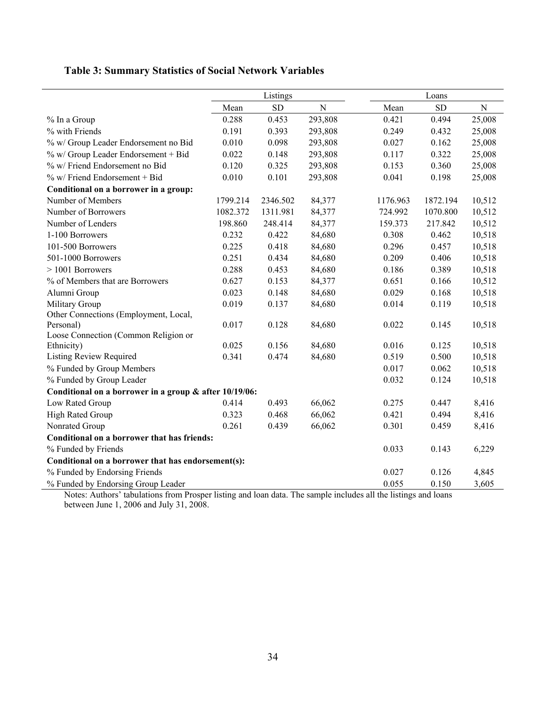# **Table 3: Summary Statistics of Social Network Variables**

|                                                        |          | Listings   |             |                               | Loans        |           |
|--------------------------------------------------------|----------|------------|-------------|-------------------------------|--------------|-----------|
|                                                        | Mean     | ${\rm SD}$ | $\mathbf N$ | Mean                          | SD           | ${\bf N}$ |
| % In a Group                                           | 0.288    | 0.453      | 293,808     | 0.421                         | 0.494        | 25,008    |
| % with Friends                                         | 0.191    | 0.393      | 293,808     | 0.249                         | 0.432        | 25,008    |
| % w/ Group Leader Endorsement no Bid                   | 0.010    | 0.098      | 293,808     | 0.027                         | 0.162        | 25,008    |
| % w/ Group Leader Endorsement + Bid                    | 0.022    | 0.148      | 293,808     | 0.117                         | 0.322        | 25,008    |
| % w/ Friend Endorsement no Bid                         | 0.120    | 0.325      | 293,808     | 0.153                         | 0.360        | 25,008    |
| % w/ Friend Endorsement + Bid                          | 0.010    | 0.101      | 293,808     | 0.041                         | 0.198        | 25,008    |
| Conditional on a borrower in a group:                  |          |            |             |                               |              |           |
| Number of Members                                      | 1799.214 | 2346.502   | 84,377      | 1176.963                      | 1872.194     | 10,512    |
| Number of Borrowers                                    | 1082.372 | 1311.981   | 84,377      | 724.992                       | 1070.800     | 10,512    |
| Number of Lenders                                      | 198.860  | 248.414    | 84,377      | 159.373                       | 217.842      | 10,512    |
| 1-100 Borrowers                                        | 0.232    | 0.422      | 84,680      | 0.308                         | 0.462        | 10,518    |
| 101-500 Borrowers                                      | 0.225    | 0.418      | 84,680      | 0.296                         | 0.457        | 10,518    |
| 501-1000 Borrowers                                     | 0.251    | 0.434      | 84,680      | 0.209                         | 0.406        | 10,518    |
| $>1001$ Borrowers                                      | 0.288    | 0.453      | 84,680      | 0.186                         | 0.389        | 10,518    |
| % of Members that are Borrowers                        | 0.627    | 0.153      | 84,377      | 0.651                         | 0.166        | 10,512    |
| Alumni Group                                           | 0.023    | 0.148      | 84,680      | 0.029                         | 0.168        | 10,518    |
| Military Group                                         | 0.019    | 0.137      | 84,680      | 0.014                         | 0.119        | 10,518    |
| Other Connections (Employment, Local,                  |          |            |             |                               |              |           |
| Personal)                                              | 0.017    | 0.128      | 84,680      | 0.022                         | 0.145        | 10,518    |
| Loose Connection (Common Religion or                   |          |            |             |                               |              |           |
| Ethnicity)                                             | 0.025    | 0.156      | 84,680      | 0.016                         | 0.125        | 10,518    |
| <b>Listing Review Required</b>                         | 0.341    | 0.474      | 84,680      | 0.519                         | 0.500        | 10,518    |
| % Funded by Group Members                              |          |            |             | 0.017                         | 0.062        | 10,518    |
| % Funded by Group Leader                               |          |            |             | 0.032                         | 0.124        | 10,518    |
| Conditional on a borrower in a group & after 10/19/06: |          |            |             |                               |              |           |
| Low Rated Group                                        | 0.414    | 0.493      | 66,062      | 0.275                         | 0.447        | 8,416     |
| High Rated Group                                       | 0.323    | 0.468      | 66,062      | 0.421                         | 0.494        | 8,416     |
| Nonrated Group                                         | 0.261    | 0.439      | 66,062      | 0.301                         | 0.459        | 8,416     |
| Conditional on a borrower that has friends:            |          |            |             |                               |              |           |
| % Funded by Friends                                    |          |            |             | 0.033                         | 0.143        | 6,229     |
| Conditional on a borrower that has endorsement(s):     |          |            |             |                               |              |           |
| % Funded by Endorsing Friends                          |          |            |             | 0.027                         | 0.126        | 4,845     |
| % Funded by Endorsing Group Leader<br>$\mathbf{v}$     |          |            |             | 0.055<br>$\cdot$<br>$11 - 11$ | 0.150<br>1.1 | 3,605     |

Notes: Authors' tabulations from Prosper listing and loan data. The sample includes all the listings and loans between June 1, 2006 and July 31, 2008.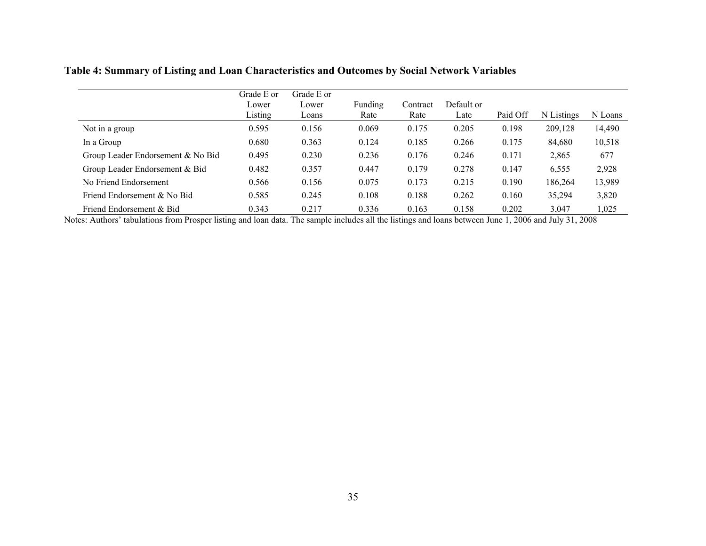## **Table 4: Summary of Listing and Loan Characteristics and Outcomes by Social Network Variables**

|                                   | Grade E or       | Grade E or     |                 |                  |                    |          |            |         |
|-----------------------------------|------------------|----------------|-----------------|------------------|--------------------|----------|------------|---------|
|                                   | Lower<br>Listing | Lower<br>Loans | Funding<br>Rate | Contract<br>Rate | Default or<br>Late | Paid Off | N Listings | N Loans |
| Not in a group                    | 0.595            | 0.156          | 0.069           | 0.175            | 0.205              | 0.198    | 209,128    | 14,490  |
| In a Group                        | 0.680            | 0.363          | 0.124           | 0.185            | 0.266              | 0.175    | 84,680     | 10,518  |
| Group Leader Endorsement & No Bid | 0.495            | 0.230          | 0.236           | 0.176            | 0.246              | 0.171    | 2,865      | 677     |
| Group Leader Endorsement & Bid    | 0.482            | 0.357          | 0.447           | 0.179            | 0.278              | 0.147    | 6,555      | 2,928   |
| No Friend Endorsement             | 0.566            | 0.156          | 0.075           | 0.173            | 0.215              | 0.190    | 186,264    | 13,989  |
| Friend Endorsement & No Bid       | 0.585            | 0.245          | 0.108           | 0.188            | 0.262              | 0.160    | 35,294     | 3,820   |
| Friend Endorsement & Bid          | 0.343            | 0.217          | 0.336           | 0.163            | 0.158              | 0.202    | 3,047      | 1,025   |

Notes: Authors' tabulations from Prosper listing and loan data. The sample includes all the listings and loans between June 1, 2006 and July 31, 2008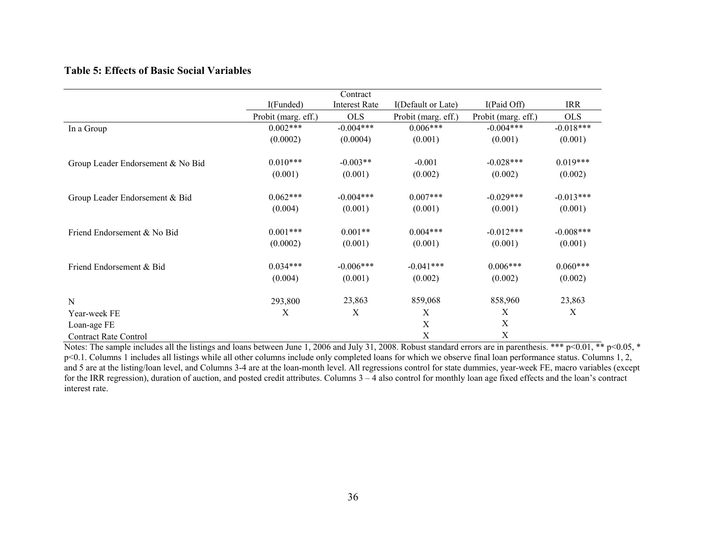#### **Table 5: Effects of Basic Social Variables**

|                                   |                     | Contract             |                     |                     |             |
|-----------------------------------|---------------------|----------------------|---------------------|---------------------|-------------|
|                                   | I(Funded)           | <b>Interest Rate</b> | I(Default or Late)  | I(Paid Off)         | <b>IRR</b>  |
|                                   | Probit (marg. eff.) | <b>OLS</b>           | Probit (marg. eff.) | Probit (marg. eff.) | <b>OLS</b>  |
| In a Group                        | $0.002***$          | $-0.004***$          | $0.006***$          | $-0.004***$         | $-0.018***$ |
|                                   | (0.0002)            | (0.0004)             | (0.001)             | (0.001)             | (0.001)     |
| Group Leader Endorsement & No Bid | $0.010***$          | $-0.003**$           | $-0.001$            | $-0.028***$         | $0.019***$  |
|                                   | (0.001)             | (0.001)              | (0.002)             | (0.002)             | (0.002)     |
| Group Leader Endorsement & Bid    | $0.062***$          | $-0.004***$          | $0.007***$          | $-0.029***$         | $-0.013***$ |
|                                   | (0.004)             | (0.001)              | (0.001)             | (0.001)             | (0.001)     |
| Friend Endorsement & No Bid       | $0.001***$          | $0.001**$            | $0.004***$          | $-0.012***$         | $-0.008***$ |
|                                   | (0.0002)            | (0.001)              | (0.001)             | (0.001)             | (0.001)     |
| Friend Endorsement & Bid          | $0.034***$          | $-0.006***$          | $-0.041***$         | $0.006***$          | $0.060***$  |
|                                   | (0.004)             | (0.001)              | (0.002)             | (0.002)             | (0.002)     |
| N                                 | 293,800             | 23,863               | 859,068             | 858,960             | 23,863      |
| Year-week FE                      | X                   | X                    | X                   | X                   | $\mathbf X$ |
| Loan-age FE                       |                     |                      | $\mathbf X$         | X                   |             |
| <b>Contract Rate Control</b>      |                     |                      | X                   | X                   |             |

Notes: The sample includes all the listings and loans between June 1, 2006 and July 31, 2008. Robust standard errors are in parenthesis. \*\*\* p<0.01, \*\* p<0.05, \* p<0.1. Columns 1 includes all listings while all other columns include only completed loans for which we observe final loan performance status. Columns 1, 2, and 5 are at the listing/loan level, and Columns 3-4 are at the loan-month level. All regressions control for state dummies, year-week FE, macro variables (except for the IRR regression), duration of auction, and posted credit attributes. Columns 3 – 4 also control for monthly loan age fixed effects and the loan's contract interest rate.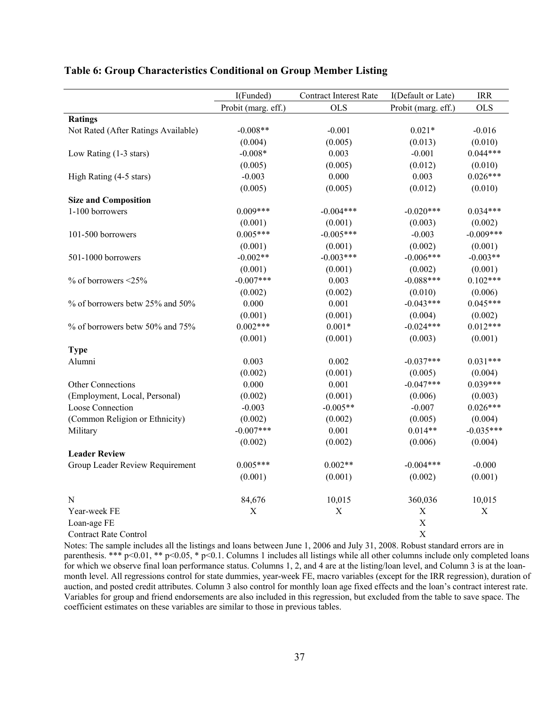|                                     | I(Funded)                 | <b>Contract Interest Rate</b> | I(Default or Late)        | <b>IRR</b>  |
|-------------------------------------|---------------------------|-------------------------------|---------------------------|-------------|
|                                     | Probit (marg. eff.)       | <b>OLS</b>                    | Probit (marg. eff.)       | <b>OLS</b>  |
| <b>Ratings</b>                      |                           |                               |                           |             |
| Not Rated (After Ratings Available) | $-0.008**$                | $-0.001$                      | $0.021*$                  | $-0.016$    |
|                                     | (0.004)                   | (0.005)                       | (0.013)                   | (0.010)     |
| Low Rating (1-3 stars)              | $-0.008*$                 | 0.003                         | $-0.001$                  | $0.044***$  |
|                                     | (0.005)                   | (0.005)                       | (0.012)                   | (0.010)     |
| High Rating (4-5 stars)             | $-0.003$                  | 0.000                         | 0.003                     | $0.026***$  |
|                                     | (0.005)                   | (0.005)                       | (0.012)                   | (0.010)     |
| <b>Size and Composition</b>         |                           |                               |                           |             |
| 1-100 borrowers                     | $0.009***$                | $-0.004***$                   | $-0.020***$               | $0.034***$  |
|                                     | (0.001)                   | (0.001)                       | (0.003)                   | (0.002)     |
| 101-500 borrowers                   | $0.005***$                | $-0.005***$                   | $-0.003$                  | $-0.009***$ |
|                                     | (0.001)                   | (0.001)                       | (0.002)                   | (0.001)     |
| 501-1000 borrowers                  | $-0.002**$                | $-0.003***$                   | $-0.006***$               | $-0.003**$  |
|                                     | (0.001)                   | (0.001)                       | (0.002)                   | (0.001)     |
| $%$ of borrowers <25%               | $-0.007***$               | 0.003                         | $-0.088***$               | $0.102***$  |
|                                     | (0.002)                   | (0.002)                       | (0.010)                   | (0.006)     |
| % of borrowers betw 25% and 50%     | 0.000                     | 0.001                         | $-0.043***$               | $0.045***$  |
|                                     | (0.001)                   | (0.001)                       | (0.004)                   | (0.002)     |
| % of borrowers betw 50% and 75%     | $0.002***$                | $0.001*$                      | $-0.024***$               | $0.012***$  |
|                                     | (0.001)                   | (0.001)                       | (0.003)                   | (0.001)     |
| <b>Type</b>                         |                           |                               |                           |             |
| Alumni                              | 0.003                     | 0.002                         | $-0.037***$               | $0.031***$  |
|                                     | (0.002)                   | (0.001)                       | (0.005)                   | (0.004)     |
| Other Connections                   | 0.000                     | 0.001                         | $-0.047***$               | $0.039***$  |
| (Employment, Local, Personal)       | (0.002)                   | (0.001)                       | (0.006)                   | (0.003)     |
| Loose Connection                    | $-0.003$                  | $-0.005**$                    | $-0.007$                  | $0.026***$  |
| (Common Religion or Ethnicity)      | (0.002)                   | (0.002)                       | (0.005)                   | (0.004)     |
| Military                            | $-0.007***$               | 0.001                         | $0.014**$                 | $-0.035***$ |
|                                     | (0.002)                   | (0.002)                       | (0.006)                   | (0.004)     |
| <b>Leader Review</b>                |                           |                               |                           |             |
| Group Leader Review Requirement     | $0.005***$                | $0.002**$                     | $-0.004***$               | $-0.000$    |
|                                     | (0.001)                   | (0.001)                       | (0.002)                   | (0.001)     |
| N                                   | 84,676                    | 10,015                        | 360,036                   | 10,015      |
| Year-week FE                        | $\boldsymbol{\mathrm{X}}$ | $\mathbf X$                   | $\mathbf X$               | $\mathbf X$ |
| Loan-age FE                         |                           |                               | $\overline{X}$            |             |
| <b>Contract Rate Control</b>        |                           |                               | $\boldsymbol{\mathrm{X}}$ |             |

#### **Table 6: Group Characteristics Conditional on Group Member Listing**

Notes: The sample includes all the listings and loans between June 1, 2006 and July 31, 2008. Robust standard errors are in parenthesis. \*\*\* p<0.01, \*\* p<0.05, \* p<0.1. Columns 1 includes all listings while all other columns include only completed loans for which we observe final loan performance status. Columns 1, 2, and 4 are at the listing/loan level, and Column 3 is at the loanmonth level. All regressions control for state dummies, year-week FE, macro variables (except for the IRR regression), duration of auction, and posted credit attributes. Column 3 also control for monthly loan age fixed effects and the loan's contract interest rate. Variables for group and friend endorsements are also included in this regression, but excluded from the table to save space. The coefficient estimates on these variables are similar to those in previous tables.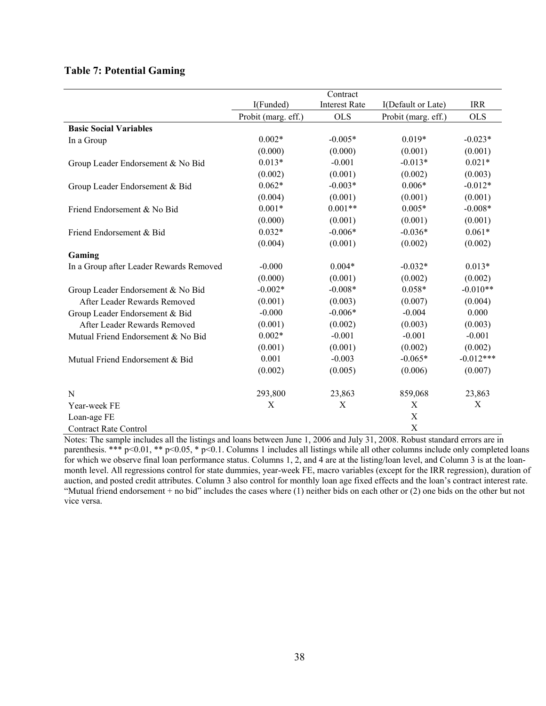### **Table 7: Potential Gaming**

|                                         |                     | Contract             |                           |             |
|-----------------------------------------|---------------------|----------------------|---------------------------|-------------|
|                                         | I(Funded)           | <b>Interest Rate</b> | I(Default or Late)        | <b>IRR</b>  |
|                                         | Probit (marg. eff.) | <b>OLS</b>           | Probit (marg. eff.)       | <b>OLS</b>  |
| <b>Basic Social Variables</b>           |                     |                      |                           |             |
| In a Group                              | $0.002*$            | $-0.005*$            | $0.019*$                  | $-0.023*$   |
|                                         | (0.000)             | (0.000)              | (0.001)                   | (0.001)     |
| Group Leader Endorsement & No Bid       | $0.013*$            | $-0.001$             | $-0.013*$                 | $0.021*$    |
|                                         | (0.002)             | (0.001)              | (0.002)                   | (0.003)     |
| Group Leader Endorsement & Bid          | $0.062*$            | $-0.003*$            | $0.006*$                  | $-0.012*$   |
|                                         | (0.004)             | (0.001)              | (0.001)                   | (0.001)     |
| Friend Endorsement & No Bid             | $0.001*$            | $0.001**$            | $0.005*$                  | $-0.008*$   |
|                                         | (0.000)             | (0.001)              | (0.001)                   | (0.001)     |
| Friend Endorsement & Bid                | $0.032*$            | $-0.006*$            | $-0.036*$                 | $0.061*$    |
|                                         | (0.004)             | (0.001)              | (0.002)                   | (0.002)     |
| Gaming                                  |                     |                      |                           |             |
| In a Group after Leader Rewards Removed | $-0.000$            | $0.004*$             | $-0.032*$                 | $0.013*$    |
|                                         | (0.000)             | (0.001)              | (0.002)                   | (0.002)     |
| Group Leader Endorsement & No Bid       | $-0.002*$           | $-0.008*$            | $0.058*$                  | $-0.010**$  |
| After Leader Rewards Removed            | (0.001)             | (0.003)              | (0.007)                   | (0.004)     |
| Group Leader Endorsement & Bid          | $-0.000$            | $-0.006*$            | $-0.004$                  | 0.000       |
| After Leader Rewards Removed            | (0.001)             | (0.002)              | (0.003)                   | (0.003)     |
| Mutual Friend Endorsement & No Bid      | $0.002*$            | $-0.001$             | $-0.001$                  | $-0.001$    |
|                                         | (0.001)             | (0.001)              | (0.002)                   | (0.002)     |
| Mutual Friend Endorsement & Bid         | 0.001               | $-0.003$             | $-0.065*$                 | $-0.012***$ |
|                                         | (0.002)             | (0.005)              | (0.006)                   | (0.007)     |
| N                                       | 293,800             | 23,863               | 859,068                   | 23,863      |
| Year-week FE                            | X                   | $\mathbf X$          | X                         | X           |
| Loan-age FE                             |                     |                      | X                         |             |
| <b>Contract Rate Control</b>            |                     |                      | $\boldsymbol{\mathrm{X}}$ |             |

Notes: The sample includes all the listings and loans between June 1, 2006 and July 31, 2008. Robust standard errors are in parenthesis. \*\*\* p<0.01, \*\* p<0.05, \* p<0.1. Columns 1 includes all listings while all other columns include only completed loans for which we observe final loan performance status. Columns 1, 2, and 4 are at the listing/loan level, and Column 3 is at the loanmonth level. All regressions control for state dummies, year-week FE, macro variables (except for the IRR regression), duration of auction, and posted credit attributes. Column 3 also control for monthly loan age fixed effects and the loan's contract interest rate. "Mutual friend endorsement + no bid" includes the cases where (1) neither bids on each other or (2) one bids on the other but not vice versa.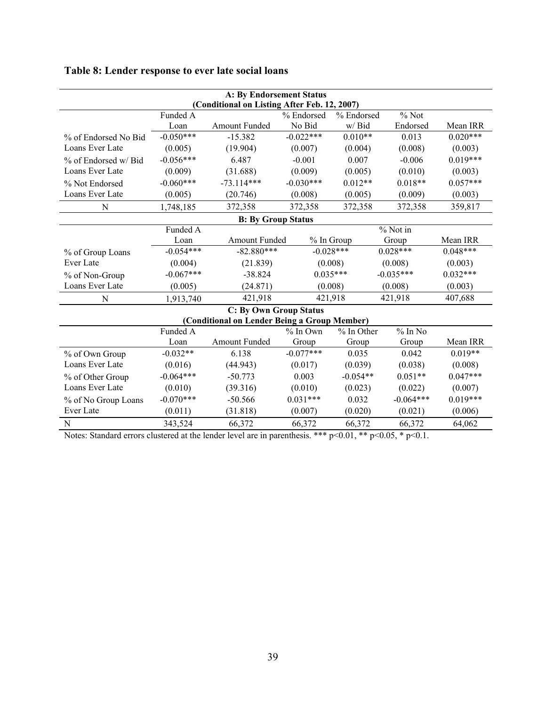| <b>A: By Endorsement Status</b>                                          |             |                                              |             |             |             |            |  |  |
|--------------------------------------------------------------------------|-------------|----------------------------------------------|-------------|-------------|-------------|------------|--|--|
| (Conditional on Listing After Feb. 12, 2007)                             |             |                                              |             |             |             |            |  |  |
| Funded A<br>% Endorsed<br>$%$ Not<br>% Endorsed<br>Amount Funded<br>Loan |             |                                              |             |             |             |            |  |  |
|                                                                          | No Bid      | w/Bid                                        | Endorsed    | Mean IRR    |             |            |  |  |
| % of Endorsed No Bid                                                     | $-0.050***$ | $-15.382$                                    | $-0.022***$ | $0.010**$   | 0.013       | $0.020***$ |  |  |
| Loans Ever Late                                                          | (0.005)     | (19.904)                                     | (0.007)     | (0.004)     | (0.008)     | (0.003)    |  |  |
| % of Endorsed w/ Bid                                                     | $-0.056***$ | 6.487                                        | $-0.001$    | 0.007       | $-0.006$    | $0.019***$ |  |  |
| Loans Ever Late                                                          | (0.009)     | (31.688)                                     | (0.009)     | (0.005)     | (0.010)     | (0.003)    |  |  |
| % Not Endorsed                                                           | $-0.060***$ | $-73.114***$                                 | $-0.030***$ | $0.012**$   | $0.018**$   | $0.057***$ |  |  |
| Loans Ever Late                                                          | (0.005)     | (20.746)                                     | (0.008)     | (0.005)     | (0.009)     | (0.003)    |  |  |
| N                                                                        | 1,748,185   | 372,358                                      | 372,358     | 372,358     | 372,358     | 359,817    |  |  |
|                                                                          |             | <b>B: By Group Status</b>                    |             |             |             |            |  |  |
| Funded A<br>% Not in                                                     |             |                                              |             |             |             |            |  |  |
|                                                                          | Loan        | Amount Funded<br>% In Group                  |             | Group       | Mean IRR    |            |  |  |
| % of Group Loans                                                         | $-0.054***$ | $-82.880***$                                 |             | $-0.028***$ | $0.028***$  | $0.048***$ |  |  |
| Ever Late                                                                | (0.004)     | (21.839)                                     | (0.008)     |             | (0.008)     | (0.003)    |  |  |
| % of Non-Group                                                           | $-0.067***$ | $-38.824$                                    |             | $0.035***$  | $-0.035***$ | $0.032***$ |  |  |
| Loans Ever Late                                                          | (0.005)     | (24.871)                                     |             | (0.008)     | (0.008)     | (0.003)    |  |  |
| N                                                                        | 1,913,740   | 421,918                                      |             | 421,918     | 421,918     | 407,688    |  |  |
|                                                                          |             | <b>C: By Own Group Status</b>                |             |             |             |            |  |  |
|                                                                          |             | (Conditional on Lender Being a Group Member) |             |             |             |            |  |  |
|                                                                          | Funded A    |                                              | $%$ In Own  | % In Other  | $%$ In No   |            |  |  |
|                                                                          | Loan        | Amount Funded                                | Group       | Group       | Group       | Mean IRR   |  |  |
| % of Own Group                                                           | $-0.032**$  | 6.138                                        | $-0.077***$ | 0.035       | 0.042       | $0.019**$  |  |  |
| Loans Ever Late                                                          | (0.016)     | (44.943)                                     | (0.017)     | (0.039)     | (0.038)     | (0.008)    |  |  |
| % of Other Group                                                         | $-0.064***$ | $-50.773$                                    | 0.003       | $-0.054**$  | $0.051**$   | $0.047***$ |  |  |
| Loans Ever Late                                                          | (0.010)     | (39.316)                                     | (0.010)     | (0.023)     | (0.022)     | (0.007)    |  |  |
| % of No Group Loans                                                      | $-0.070***$ | $-50.566$                                    | $0.031***$  | 0.032       | $-0.064***$ | $0.019***$ |  |  |
| Ever Late                                                                | (0.011)     | (31.818)                                     | (0.007)     | (0.020)     | (0.021)     | (0.006)    |  |  |
| N                                                                        | 343,524     | 66,372                                       | 66,372      | 66,372      | 66,372      | 64,062     |  |  |

# **Table 8: Lender response to ever late social loans**

Notes: Standard errors clustered at the lender level are in parenthesis. \*\*\*  $p<0.01$ , \*\*  $p<0.05$ , \*  $p<0.1$ .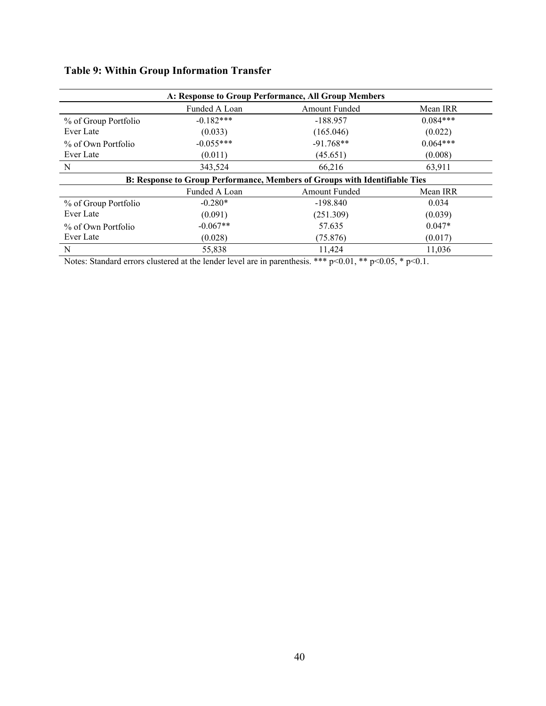| A: Response to Group Performance, All Group Members |               |                                                                            |            |  |  |  |  |  |  |
|-----------------------------------------------------|---------------|----------------------------------------------------------------------------|------------|--|--|--|--|--|--|
| Funded A Loan<br><b>Amount Funded</b><br>Mean IRR   |               |                                                                            |            |  |  |  |  |  |  |
| % of Group Portfolio                                | $-0.182***$   | $-188.957$                                                                 | $0.084***$ |  |  |  |  |  |  |
| Ever Late                                           | (0.033)       | (165.046)                                                                  | (0.022)    |  |  |  |  |  |  |
| % of Own Portfolio                                  | $-0.055***$   | $-91.768**$                                                                | $0.064***$ |  |  |  |  |  |  |
| Ever Late                                           | (0.011)       | (45.651)                                                                   | (0.008)    |  |  |  |  |  |  |
| $\mathbf N$                                         | 343,524       | 66,216                                                                     | 63,911     |  |  |  |  |  |  |
|                                                     |               | B: Response to Group Performance, Members of Groups with Identifiable Ties |            |  |  |  |  |  |  |
|                                                     | Funded A Loan | <b>Amount Funded</b>                                                       | Mean IRR   |  |  |  |  |  |  |
| % of Group Portfolio                                | $-0.280*$     | $-198.840$                                                                 | 0.034      |  |  |  |  |  |  |
| Ever Late                                           | (0.091)       | (251.309)                                                                  | (0.039)    |  |  |  |  |  |  |
| % of Own Portfolio                                  | $-0.067**$    | 57.635                                                                     | $0.047*$   |  |  |  |  |  |  |
| Ever Late                                           | (0.028)       | (75.876)                                                                   | (0.017)    |  |  |  |  |  |  |
| N                                                   | 55,838        | 11.424                                                                     | 11.036     |  |  |  |  |  |  |

# **Table 9: Within Group Information Transfer**

Notes: Standard errors clustered at the lender level are in parenthesis. \*\*\* p<0.01, \*\* p<0.05, \* p<0.1.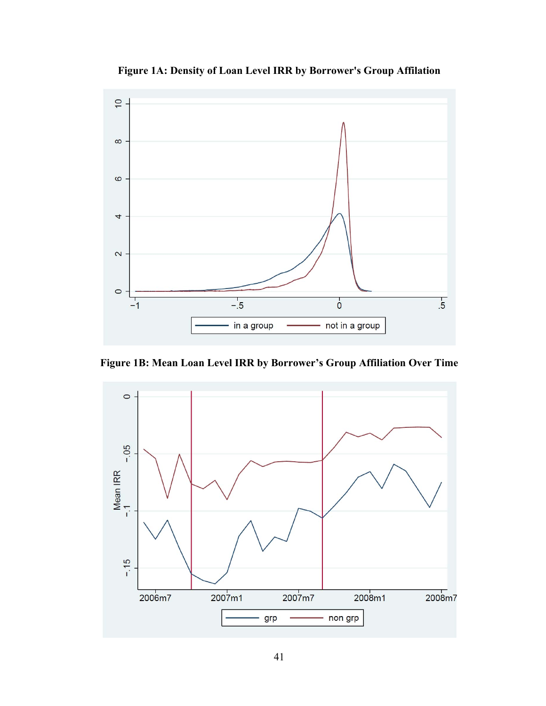

**Figure 1A: Density of Loan Level IRR by Borrower's Group Affilation** 

**Figure 1B: Mean Loan Level IRR by Borrower's Group Affiliation Over Time** 

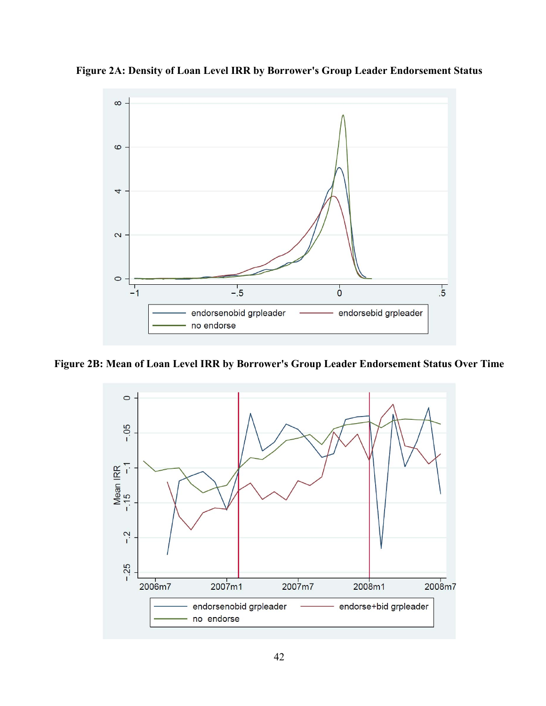

**Figure 2A: Density of Loan Level IRR by Borrower's Group Leader Endorsement Status** 

**Figure 2B: Mean of Loan Level IRR by Borrower's Group Leader Endorsement Status Over Time** 

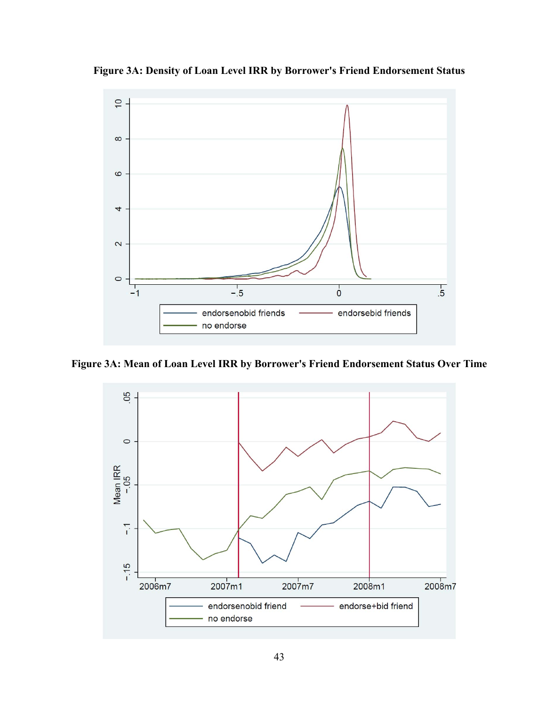



**Figure 3A: Mean of Loan Level IRR by Borrower's Friend Endorsement Status Over Time** 

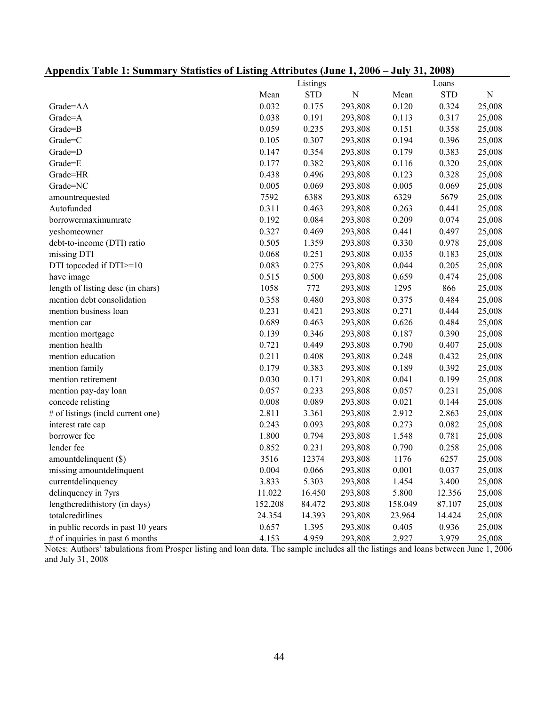|                                    |         | Listings   |             |         | Loans      |           |
|------------------------------------|---------|------------|-------------|---------|------------|-----------|
|                                    | Mean    | <b>STD</b> | $\mathbf N$ | Mean    | <b>STD</b> | ${\bf N}$ |
| Grade=AA                           | 0.032   | 0.175      | 293,808     | 0.120   | 0.324      | 25,008    |
| Grade=A                            | 0.038   | 0.191      | 293,808     | 0.113   | 0.317      | 25,008    |
| Grade=B                            | 0.059   | 0.235      | 293,808     | 0.151   | 0.358      | 25,008    |
| Grade=C                            | 0.105   | 0.307      | 293,808     | 0.194   | 0.396      | 25,008    |
| Grade=D                            | 0.147   | 0.354      | 293,808     | 0.179   | 0.383      | 25,008    |
| Grade=E                            | 0.177   | 0.382      | 293,808     | 0.116   | 0.320      | 25,008    |
| Grade=HR                           | 0.438   | 0.496      | 293,808     | 0.123   | 0.328      | 25,008    |
| Grade=NC                           | 0.005   | 0.069      | 293,808     | 0.005   | 0.069      | 25,008    |
| amountrequested                    | 7592    | 6388       | 293,808     | 6329    | 5679       | 25,008    |
| Autofunded                         | 0.311   | 0.463      | 293,808     | 0.263   | 0.441      | 25,008    |
| borrowermaximumrate                | 0.192   | 0.084      | 293,808     | 0.209   | 0.074      | 25,008    |
| yeshomeowner                       | 0.327   | 0.469      | 293,808     | 0.441   | 0.497      | 25,008    |
| debt-to-income (DTI) ratio         | 0.505   | 1.359      | 293,808     | 0.330   | 0.978      | 25,008    |
| missing DTI                        | 0.068   | 0.251      | 293,808     | 0.035   | 0.183      | 25,008    |
| DTI topcoded if DTI >=10           | 0.083   | 0.275      | 293,808     | 0.044   | 0.205      | 25,008    |
| have image                         | 0.515   | 0.500      | 293,808     | 0.659   | 0.474      | 25,008    |
| length of listing desc (in chars)  | 1058    | 772        | 293,808     | 1295    | 866        | 25,008    |
| mention debt consolidation         | 0.358   | 0.480      | 293,808     | 0.375   | 0.484      | 25,008    |
| mention business loan              | 0.231   | 0.421      | 293,808     | 0.271   | 0.444      | 25,008    |
| mention car                        | 0.689   | 0.463      | 293,808     | 0.626   | 0.484      | 25,008    |
| mention mortgage                   | 0.139   | 0.346      | 293,808     | 0.187   | 0.390      | 25,008    |
| mention health                     | 0.721   | 0.449      | 293,808     | 0.790   | 0.407      | 25,008    |
| mention education                  | 0.211   | 0.408      | 293,808     | 0.248   | 0.432      | 25,008    |
| mention family                     | 0.179   | 0.383      | 293,808     | 0.189   | 0.392      | 25,008    |
| mention retirement                 | 0.030   | 0.171      | 293,808     | 0.041   | 0.199      | 25,008    |
| mention pay-day loan               | 0.057   | 0.233      | 293,808     | 0.057   | 0.231      | 25,008    |
| concede relisting                  | 0.008   | 0.089      | 293,808     | 0.021   | 0.144      | 25,008    |
| # of listings (incld current one)  | 2.811   | 3.361      | 293,808     | 2.912   | 2.863      | 25,008    |
| interest rate cap                  | 0.243   | 0.093      | 293,808     | 0.273   | 0.082      | 25,008    |
| borrower fee                       | 1.800   | 0.794      | 293,808     | 1.548   | 0.781      | 25,008    |
| lender fee                         | 0.852   | 0.231      | 293,808     | 0.790   | 0.258      | 25,008    |
| amountdelinquent (\$)              | 3516    | 12374      | 293,808     | 1176    | 6257       | 25,008    |
| missing amountdelinquent           | 0.004   | 0.066      | 293,808     | 0.001   | 0.037      | 25,008    |
| currentdelinquency                 | 3.833   | 5.303      | 293,808     | 1.454   | 3.400      | 25,008    |
| delinquency in 7yrs                | 11.022  | 16.450     | 293,808     | 5.800   | 12.356     | 25,008    |
| lengthcredithistory (in days)      | 152.208 | 84.472     | 293,808     | 158.049 | 87.107     | 25,008    |
| totalcreditlines                   | 24.354  | 14.393     | 293,808     | 23.964  | 14.424     | 25,008    |
| in public records in past 10 years | 0.657   | 1.395      | 293,808     | 0.405   | 0.936      | 25,008    |
| # of inquiries in past 6 months    | 4.153   | 4.959      | 293,808     | 2.927   | 3.979      | 25,008    |

# **Appendix Table 1: Summary Statistics of Listing Attributes (June 1, 2006 – July 31, 2008)**

Notes: Authors' tabulations from Prosper listing and loan data. The sample includes all the listings and loans between June 1, 2006 and July 31, 2008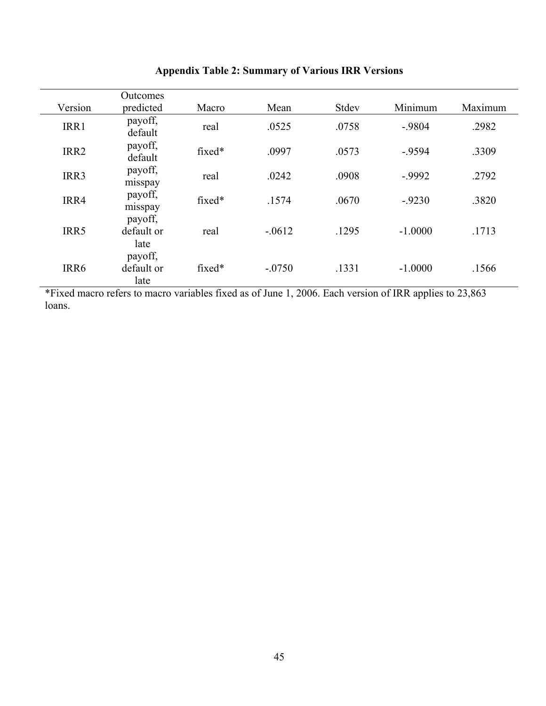|         | Outcomes                      |        |          |       |           |         |
|---------|-------------------------------|--------|----------|-------|-----------|---------|
| Version | predicted                     | Macro  | Mean     | Stdev | Minimum   | Maximum |
| IRR1    | payoff,<br>default            | real   | .0525    | .0758 | $-9804$   | .2982   |
| IRR2    | payoff,<br>default            | fixed* | .0997    | .0573 | $-9594$   | .3309   |
| IRR3    | payoff,<br>misspay            | real   | .0242    | .0908 | $-0.9992$ | .2792   |
| IRR4    | payoff,<br>misspay            | fixed* | .1574    | .0670 | $-9230$   | .3820   |
| IRR5    | payoff,<br>default or<br>late | real   | $-.0612$ | .1295 | $-1.0000$ | .1713   |
| IRR6    | payoff,<br>default or<br>late | fixed* | $-.0750$ | .1331 | $-1.0000$ | .1566   |

# **Appendix Table 2: Summary of Various IRR Versions**

\*Fixed macro refers to macro variables fixed as of June 1, 2006. Each version of IRR applies to 23,863 loans.